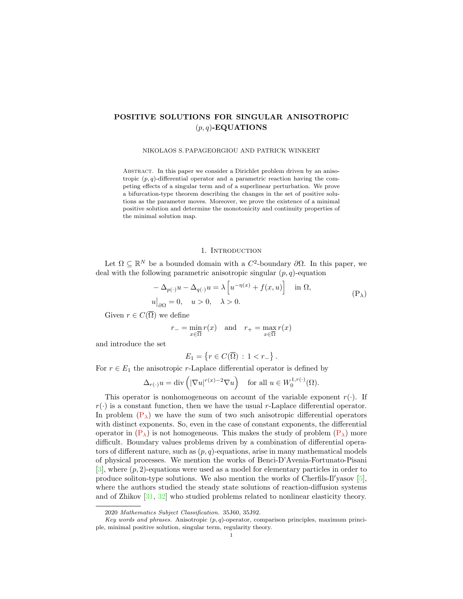# POSITIVE SOLUTIONS FOR SINGULAR ANISOTROPIC  $(p, q)$ -EQUATIONS

#### NIKOLAOS S. PAPAGEORGIOU AND PATRICK WINKERT

Abstract. In this paper we consider a Dirichlet problem driven by an anisotropic  $(p, q)$ -differential operator and a parametric reaction having the competing effects of a singular term and of a superlinear perturbation. We prove a bifurcation-type theorem describing the changes in the set of positive solutions as the parameter moves. Moreover, we prove the existence of a minimal positive solution and determine the monotonicity and continuity properties of the minimal solution map.

## <span id="page-0-0"></span>1. INTRODUCTION

Let  $\Omega \subseteq \mathbb{R}^N$  be a bounded domain with a  $C^2$ -boundary  $\partial\Omega$ . In this paper, we deal with the following parametric anisotropic singular  $(p, q)$ -equation

$$
-\Delta_{p(\cdot)}u - \Delta_{q(\cdot)}u = \lambda \left[ u^{-\eta(x)} + f(x, u) \right] \text{ in } \Omega,
$$
  
\n
$$
u|_{\partial\Omega} = 0, \quad u > 0, \quad \lambda > 0.
$$
 (P<sub>\lambda</sub>)

Given  $r \in C(\overline{\Omega})$  we define

$$
r_{-} = \min_{x \in \overline{\Omega}} r(x) \quad \text{and} \quad r_{+} = \max_{x \in \overline{\Omega}} r(x)
$$

and introduce the set

$$
E_1 = \left\{ r \in C(\overline{\Omega}) \, : \, 1 < r_- \right\}.
$$

For  $r \in E_1$  the anisotropic r-Laplace differential operator is defined by

$$
\Delta_{r(\cdot)} u = \text{div}\left( |\nabla u|^{r(x)-2} \nabla u \right) \quad \text{for all } u \in W_0^{1,r(\cdot)}(\Omega).
$$

This operator is nonhomogeneous on account of the variable exponent  $r(.)$ . If  $r(\cdot)$  is a constant function, then we have the usual r-Laplace differential operator. In problem  $(P_{\lambda})$  $(P_{\lambda})$  we have the sum of two such anisotropic differential operators with distinct exponents. So, even in the case of constant exponents, the differential operator in  $(P_\lambda)$  $(P_\lambda)$  is not homogeneous. This makes the study of problem  $(P_\lambda)$  more difficult. Boundary values problems driven by a combination of differential operators of different nature, such as  $(p, q)$ -equations, arise in many mathematical models of physical processes. We mention the works of Benci-D'Avenia-Fortunato-Pisani  $[3]$ , where  $(p, 2)$ -equations were used as a model for elementary particles in order to produce soliton-type solutions. We also mention the works of Cherfils-Il'yasov [\[5\]](#page-21-1), where the authors studied the steady state solutions of reaction-diffusion systems and of Zhikov [\[31,](#page-22-0) [32\]](#page-22-1) who studied problems related to nonlinear elasticity theory.

<sup>2020</sup> Mathematics Subject Classification. 35J60, 35J92.

Key words and phrases. Anisotropic  $(p, q)$ -operator, comparison principles, maximum principle, minimal positive solution, singular term, regularity theory.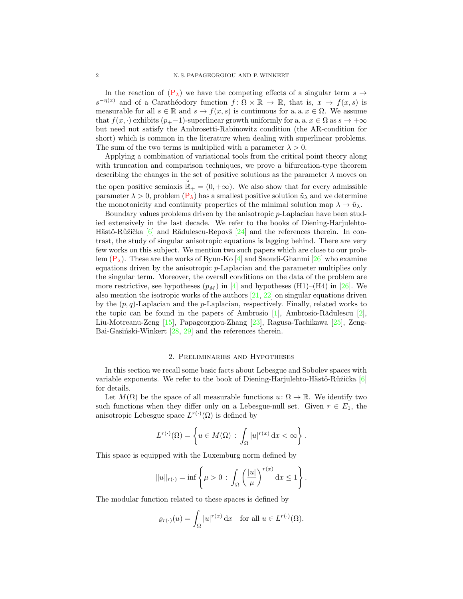In the reaction of  $(P_{\lambda})$  $(P_{\lambda})$  we have the competing effects of a singular term  $s \rightarrow$  $s^{-\eta(x)}$  and of a Carathéodory function  $f: \Omega \times \mathbb{R} \to \mathbb{R}$ , that is,  $x \to f(x, s)$  is measurable for all  $s \in \mathbb{R}$  and  $s \to f(x, s)$  is continuous for a. a.  $x \in \Omega$ . We assume that  $f(x, \cdot)$  exhibits  $(p_{+}-1)$ -superlinear growth uniformly for a. a.  $x \in \Omega$  as  $s \to +\infty$ but need not satisfy the Ambrosetti-Rabinowitz condition (the AR-condition for short) which is common in the literature when dealing with superlinear problems. The sum of the two terms is multiplied with a parameter  $\lambda > 0$ .

Applying a combination of variational tools from the critical point theory along with truncation and comparison techniques, we prove a bifurcation-type theorem describing the changes in the set of positive solutions as the parameter  $\lambda$  moves on the open positive semiaxis  $\mathbb{R}_+ = (0, +\infty)$ . We also show that for every admissible parameter  $\lambda > 0$ , problem  $(P_{\lambda})$  $(P_{\lambda})$  has a smallest positive solution  $\tilde{u}_{\lambda}$  and we determine the monotonicity and continuity properties of the minimal solution map  $\lambda \mapsto \tilde{u}_{\lambda}$ .

Boundary values problems driven by the anisotropic p-Laplacian have been studied extensively in the last decade. We refer to the books of Diening-Harjulehto-Hästö-Růžička  $[6]$  and Rădulescu-Repovš  $[24]$  and the references therein. In contrast, the study of singular anisotropic equations is lagging behind. There are very few works on this subject. We mention two such papers which are close to our problem  $(P_{\lambda})$  $(P_{\lambda})$ . These are the works of Byun-Ko [\[4\]](#page-21-3) and Saoudi-Ghanmi [\[26\]](#page-22-3) who examine equations driven by the anisotropic  $p$ -Laplacian and the parameter multiplies only the singular term. Moreover, the overall conditions on the data of the problem are more restrictive, see hypotheses  $(p_M)$  in [\[4\]](#page-21-3) and hypotheses (H1)–(H4) in [\[26\]](#page-22-3). We also mention the isotropic works of the authors [\[21,](#page-22-4) [22\]](#page-22-5) on singular equations driven by the  $(p, q)$ -Laplacian and the p-Laplacian, respectively. Finally, related works to the topic can be found in the papers of Ambrosio  $[1]$ , Ambrosio-Rădulescu  $[2]$ , Liu-Motreanu-Zeng [\[15\]](#page-21-6), Papageorgiou-Zhang [\[23\]](#page-22-6), Ragusa-Tachikawa [\[25\]](#page-22-7), Zeng-Bai-Gasiński-Winkert  $[28, 29]$  $[28, 29]$  $[28, 29]$  and the references therein.

#### 2. Preliminaries and Hypotheses

In this section we recall some basic facts about Lebesgue and Sobolev spaces with variable exponents. We refer to the book of Diening-Harjulehto-Hästö-Růžička  $[6]$ for details.

Let  $M(\Omega)$  be the space of all measurable functions  $u: \Omega \to \mathbb{R}$ . We identify two such functions when they differ only on a Lebesgue-null set. Given  $r \in E_1$ , the anisotropic Lebesgue space  $L^{r(\cdot)}(\Omega)$  is defined by

$$
L^{r(\cdot)}(\Omega) = \left\{ u \in M(\Omega) : \int_{\Omega} |u|^{r(x)} dx < \infty \right\}.
$$

This space is equipped with the Luxemburg norm defined by

$$
||u||_{r(\cdot)} = \inf \left\{ \mu > 0 \, : \, \int_{\Omega} \left( \frac{|u|}{\mu} \right)^{r(x)} dx \le 1 \right\}.
$$

The modular function related to these spaces is defined by

$$
\varrho_{r(\cdot)}(u) = \int_{\Omega} |u|^{r(x)} \, \mathrm{d}x \quad \text{for all } u \in L^{r(\cdot)}(\Omega).
$$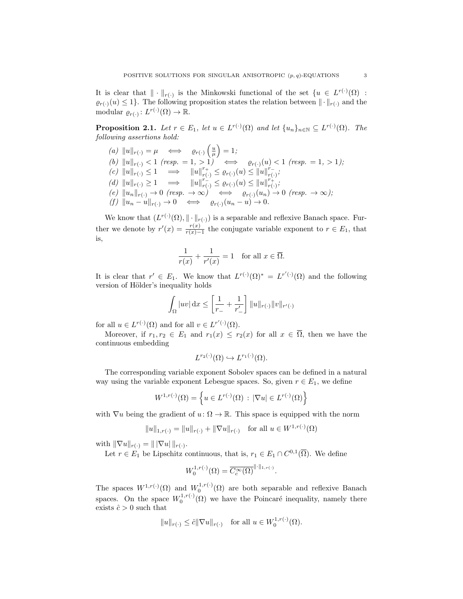It is clear that  $\|\cdot\|_{r(\cdot)}$  is the Minkowski functional of the set  $\{u \in L^{r(\cdot)}(\Omega)$ :  $\varrho_{r(\cdot)}(u) \leq 1$ . The following proposition states the relation between  $\|\cdot\|_{r(\cdot)}$  and the modular  $\varrho_{r(\cdot)}: L^{r(\cdot)}(\Omega) \to \mathbb{R}$ .

<span id="page-2-0"></span>**Proposition 2.1.** Let  $r \in E_1$ , let  $u \in L^{r(\cdot)}(\Omega)$  and let  $\{u_n\}_{n \in \mathbb{N}} \subseteq L^{r(\cdot)}(\Omega)$ . The following assertions hold:

 $(a) \|u\|_{r(\cdot)} = \mu \iff \varrho_{r(\cdot)}\left(\frac{u}{\mu}\right) = 1;$ (b)  $||u||_{r(\cdot)} < 1$  (resp. = 1, > 1)  $\iff$   $\varrho_{r(\cdot)}(u) < 1$  (resp. = 1, > 1);  $(c) \|u\|_{r(\cdot)} \leq 1 \implies \|u\|_{r(\cdot)}^{r_+} \leq \varrho_{r(\cdot)}(u) \leq \|u\|_{r(\cdot)}^{r_-}$  $_{r(\cdot)}^{r_{-}};$ (d)  $||u||_{r(\cdot)} \ge 1 \implies ||u||_{r(\cdot)}^{r(\cdot)} \le \varrho_{r(\cdot)}(u) \le ||u||_{r(\cdot)}^{r(\cdot)}$  $_{r(\cdot)}^{r_+};$  $(e) \|u_n\|_{r(\cdot)} \to 0 \text{ (resp. } \to \infty) \iff \varrho_{r(\cdot)}(u_n) \to 0 \text{ (resp. } \to \infty);$  $(f) \|u_n - u\|_{r(\cdot)} \to 0 \iff \varrho_{r(\cdot)}(u_n - u) \to 0.$ 

We know that  $(L^{r(\cdot)}(\Omega), \|\cdot\|_{r(\cdot)})$  is a separable and reflexive Banach space. Further we denote by  $r'(x) = \frac{r(x)}{r(x)-1}$  the conjugate variable exponent to  $r \in E_1$ , that is,

$$
\frac{1}{r(x)} + \frac{1}{r'(x)} = 1 \quad \text{for all } x \in \overline{\Omega}.
$$

It is clear that  $r' \in E_1$ . We know that  $L^{r(\cdot)}(\Omega)^* = L^{r'(\cdot)}(\Omega)$  and the following version of Hölder's inequality holds

$$
\int_{\Omega} |uv| \, \mathrm{d}x \le \left[ \frac{1}{r_{-}} + \frac{1}{r'_{-}} \right] ||u||_{r(\cdot)} ||v||_{r'(\cdot)}
$$

for all  $u \in L^{r(\cdot)}(\Omega)$  and for all  $v \in L^{r'(\cdot)}(\Omega)$ .

Moreover, if  $r_1, r_2 \in E_1$  and  $r_1(x) \leq r_2(x)$  for all  $x \in \overline{\Omega}$ , then we have the continuous embedding

$$
L^{r_2(\cdot)}(\Omega) \hookrightarrow L^{r_1(\cdot)}(\Omega).
$$

The corresponding variable exponent Sobolev spaces can be defined in a natural way using the variable exponent Lebesgue spaces. So, given  $r \in E_1$ , we define

$$
W^{1,r(\cdot)}(\Omega) = \left\{ u \in L^{r(\cdot)}(\Omega) \, : \, |\nabla u| \in L^{r(\cdot)}(\Omega) \right\}
$$

with  $\nabla u$  being the gradient of  $u: \Omega \to \mathbb{R}$ . This space is equipped with the norm

$$
||u||_{1,r(\cdot)} = ||u||_{r(\cdot)} + ||\nabla u||_{r(\cdot)} \text{ for all } u \in W^{1,r(\cdot)}(\Omega)
$$

with  $\|\nabla u\|_{r(\cdot)} = \|\nabla u\|_{r(\cdot)}.$ 

Let  $r \in E_1$  be Lipschitz continuous, that is,  $r_1 \in E_1 \cap C^{0,1}(\overline{\Omega})$ . We define

$$
W_0^{1,r(\cdot)}(\Omega) = \overline{C_c^{\infty}(\Omega)}^{\|\cdot\|_{1,r(\cdot)}}.
$$

The spaces  $W^{1,r(\cdot)}(\Omega)$  and  $W_0^{1,r(\cdot)}(\Omega)$  are both separable and reflexive Banach spaces. On the space  $W_0^{1,r(\cdot)}(\Omega)$  we have the Poincaré inequality, namely there exists  $\hat{c} > 0$  such that

$$
||u||_{r(\cdot)} \leq \hat{c}||\nabla u||_{r(\cdot)}
$$
 for all  $u \in W_0^{1,r(\cdot)}(\Omega)$ .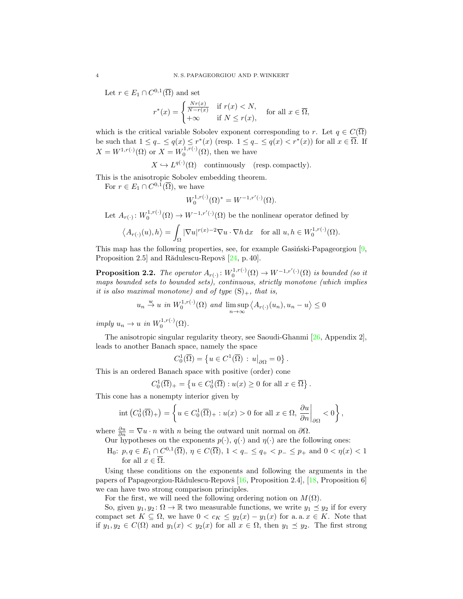Let  $r \in E_1 \cap C^{0,1}(\overline{\Omega})$  and set

$$
r^*(x) = \begin{cases} \frac{Nr(x)}{N-r(x)} & \text{if } r(x) < N, \\ +\infty & \text{if } N \le r(x), \end{cases}
$$
 for all  $x \in \overline{\Omega}$ ,

which is the critical variable Sobolev exponent corresponding to r. Let  $q \in C(\overline{\Omega})$ be such that  $1 \le q_- \le q(x) \le r^*(x)$  (resp.  $1 \le q_- \le q(x) < r^*(x)$ ) for all  $x \in \overline{\Omega}$ . If  $X = W^{1,r(\cdot)}(\Omega)$  or  $X = W_0^{1,r(\cdot)}(\Omega)$ , then we have

 $X \hookrightarrow L^{q(\cdot)}(\Omega)$  continuously (resp. compactly).

This is the anisotropic Sobolev embedding theorem.

For  $r \in E_1 \cap C^{0,1}(\overline{\Omega})$ , we have

$$
W_0^{1,r(\cdot)}(\Omega)^* = W^{-1,r'(\cdot)}(\Omega).
$$

Let  $A_{r(\cdot)}: W_0^{1,r(\cdot)}(\Omega) \to W^{-1,r'(\cdot)}(\Omega)$  be the nonlinear operator defined by

$$
\langle A_{r(\cdot)}(u), h \rangle = \int_{\Omega} |\nabla u|^{r(x)-2} \nabla u \cdot \nabla h \, \mathrm{d}x \quad \text{for all } u, h \in W_0^{1,r(\cdot)}(\Omega).
$$

This map has the following properties, see, for example Gasinski-Papageorgiou  $[9,$ Proposition 2.5] and Rădulescu-Repovš  $[24, p. 40]$  $[24, p. 40]$ .

<span id="page-3-0"></span>**Proposition 2.2.** The operator  $A_{r(\cdot)}: W_0^{1,r(\cdot)}(\Omega) \to W^{-1,r'(\cdot)}(\Omega)$  is bounded (so it maps bounded sets to bounded sets), continuous, strictly monotone (which implies it is also maximal monotone) and of type  $(S)_+$ , that is,

$$
u_n \stackrel{w}{\to} u \text{ in } W_0^{1,r(\cdot)}(\Omega) \text{ and } \limsup_{n \to \infty} \langle A_{r(\cdot)}(u_n), u_n - u \rangle \le 0
$$

imply  $u_n \to u$  in  $W_0^{1,r(\cdot)}(\Omega)$ .

The anisotropic singular regularity theory, see Saoudi-Ghanmi [\[26,](#page-22-3) Appendix 2], leads to another Banach space, namely the space

$$
C_0^1(\overline{\Omega}) = \left\{ u \in C^1(\overline{\Omega}) : u \middle|_{\partial \Omega} = 0 \right\}.
$$

This is an ordered Banach space with positive (order) cone

$$
C_0^1(\overline{\Omega})_+ = \left\{ u \in C_0^1(\overline{\Omega}) : u(x) \ge 0 \text{ for all } x \in \overline{\Omega} \right\}.
$$

This cone has a nonempty interior given by

$$
\mathrm{int}\left(C_0^1(\overline{\Omega})_+\right) = \left\{u \in C_0^1(\overline{\Omega})_+ : u(x) > 0 \text{ for all } x \in \Omega, \left.\frac{\partial u}{\partial n}\right|_{\partial \Omega} < 0\right\},\
$$

where  $\frac{\partial u}{\partial n} = \nabla u \cdot n$  with n being the outward unit normal on  $\partial \Omega$ .

Our hypotheses on the exponents  $p(\cdot), q(\cdot)$  and  $\eta(\cdot)$  are the following ones:

H<sub>0</sub>:  $p, q \in E_1 \cap C^{0,1}(\overline{\Omega}), \eta \in C(\overline{\Omega}), 1 < q_- \leq q_+ < p_- \leq p_+ \text{ and } 0 < \eta(x) < 1$ for all  $x \in \overline{\Omega}$ .

Using these conditions on the exponents and following the arguments in the papers of Papageorgiou-Rădulescu-Repovš  $[16,$  Proposition 2.4],  $[18,$  Proposition 6] we can have two strong comparison principles.

For the first, we will need the following ordering notion on  $M(\Omega)$ .

So, given  $y_1, y_2 \colon \Omega \to \mathbb{R}$  two measurable functions, we write  $y_1 \preceq y_2$  if for every compact set  $K \subseteq \Omega$ , we have  $0 < c_K \leq y_2(x) - y_1(x)$  for a. a.  $x \in K$ . Note that if  $y_1, y_2 \in C(\Omega)$  and  $y_1(x) < y_2(x)$  for all  $x \in \Omega$ , then  $y_1 \preceq y_2$ . The first strong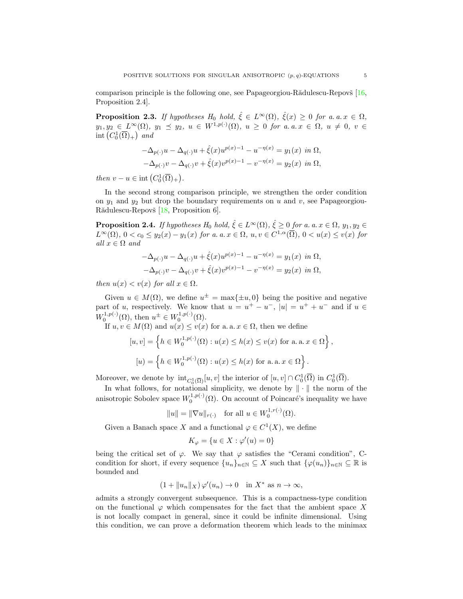comparison principle is the following one, see Papageorgiou-R $\ddot{a}$ dulescu-Repov $\ddot{s}$  [\[16,](#page-21-8) Proposition 2.4].

<span id="page-4-0"></span>**Proposition 2.3.** If hypotheses  $H_0$  hold,  $\hat{\xi} \in L^{\infty}(\Omega)$ ,  $\hat{\xi}(x) \geq 0$  for a. a.  $x \in \Omega$ ,  $y_1, y_2 \in L^{\infty}(\Omega)$ ,  $y_1 \preceq y_2$ ,  $u \in W^{1,p(\cdot)}(\Omega)$ ,  $u \geq 0$  for a.a.  $x \in \Omega$ ,  $u \neq 0$ ,  $v \in$ int  $(C_0^1(\overline{\Omega})_+)$  and

$$
-\Delta_{p(\cdot)}u - \Delta_{q(\cdot)}u + \hat{\xi}(x)u^{p(x)-1} - u^{-\eta(x)} = y_1(x) \text{ in } \Omega,
$$
  

$$
-\Delta_{p(\cdot)}v - \Delta_{q(\cdot)}v + \hat{\xi}(x)v^{p(x)-1} - v^{-\eta(x)} = y_2(x) \text{ in } \Omega,
$$

then  $v - u \in \text{int}\left(C_0^1(\overline{\Omega})_+\right)$ .

In the second strong comparison principle, we strengthen the order condition on  $y_1$  and  $y_2$  but drop the boundary requirements on u and v, see Papageorgiou-Rădulescu-Repovš [\[18,](#page-21-9) Proposition 6].

<span id="page-4-1"></span>**Proposition 2.4.** If hypotheses  $H_0$  hold,  $\hat{\xi} \in L^{\infty}(\Omega)$ ,  $\hat{\xi} \geq 0$  for a. a.  $x \in \Omega$ ,  $y_1, y_2 \in$  $L^{\infty}(\Omega)$ ,  $0 < c_0 \leq y_2(x) - y_1(x)$  for a. a.  $x \in \Omega$ ,  $u, v \in C^{1,\alpha}(\overline{\Omega})$ ,  $0 < u(x) \leq v(x)$  for all  $x \in \Omega$  and

$$
-\Delta_{p(\cdot)}u - \Delta_{q(\cdot)}u + \hat{\xi}(x)u^{p(x)-1} - u^{-\eta(x)} = y_1(x) \text{ in } \Omega,
$$
  

$$
-\Delta_{p(\cdot)}v - \Delta_{q(\cdot)}v + \hat{\xi}(x)v^{p(x)-1} - v^{-\eta(x)} = y_2(x) \text{ in } \Omega,
$$

then  $u(x) < v(x)$  for all  $x \in \Omega$ .

Given  $u \in M(\Omega)$ , we define  $u^{\pm} = \max\{\pm u, 0\}$  being the positive and negative part of u, respectively. We know that  $u = u^+ - u^-$ ,  $|u| = u^+ + u^-$  and if  $u \in$  $W_0^{1,p(\cdot)}(\Omega)$ , then  $u^{\pm} \in W_0^{1,p(\cdot)}(\Omega)$ .

If  $u, v \in M(\Omega)$  and  $u(x) \leq v(x)$  for a. a.  $x \in \Omega$ , then we define

$$
[u, v] = \left\{ h \in W_0^{1, p(\cdot)}(\Omega) : u(x) \le h(x) \le v(x) \text{ for a. a. } x \in \Omega \right\},\
$$

$$
[u] = \left\{ h \in W_0^{1, p(\cdot)}(\Omega) : u(x) \le h(x) \text{ for a. a. } x \in \Omega \right\}.
$$

Moreover, we denote by  $\mathrm{int}_{C_0^1(\overline{\Omega})}[u, v]$  the interior of  $[u, v] \cap C_0^1(\overline{\Omega})$  in  $C_0^1(\overline{\Omega})$ .

In what follows, for notational simplicity, we denote by  $\|\cdot\|$  the norm of the anisotropic Sobolev space  $W_0^{1,p(\cdot)}(\Omega)$ . On account of Poincaré's inequality we have

$$
||u|| = ||\nabla u||_{r(\cdot)}
$$
 for all  $u \in W_0^{1,r(\cdot)}(\Omega)$ .

Given a Banach space X and a functional  $\varphi \in C^1(X)$ , we define

$$
K_{\varphi} = \{ u \in X : \varphi'(u) = 0 \}
$$

being the critical set of  $\varphi$ . We say that  $\varphi$  satisfies the "Cerami condition", Ccondition for short, if every sequence  $\{u_n\}_{n\in\mathbb{N}}\subseteq X$  such that  $\{\varphi(u_n)\}_{n\in\mathbb{N}}\subseteq \mathbb{R}$  is bounded and

$$
(1 + \|u_n\|_X)\,\varphi'(u_n) \to 0 \quad \text{in } X^* \text{ as } n \to \infty,
$$

admits a strongly convergent subsequence. This is a compactness-type condition on the functional  $\varphi$  which compensates for the fact that the ambient space X is not locally compact in general, since it could be infinite dimensional. Using this condition, we can prove a deformation theorem which leads to the minimax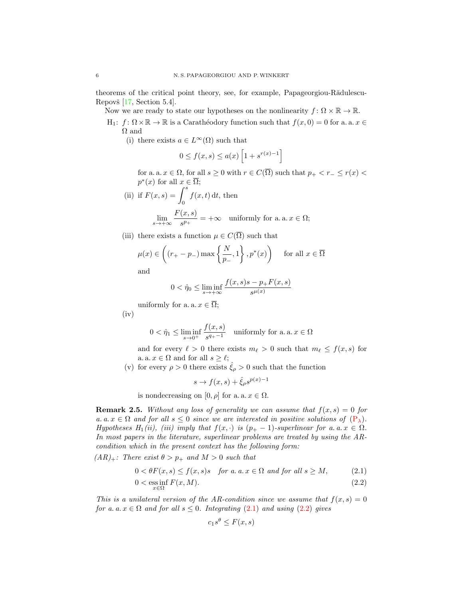theorems of the critical point theory, see, for example, Papageorgiou-Rădulescu-Repovš  $[17, Section 5.4]$  $[17, Section 5.4]$ .

Now we are ready to state our hypotheses on the nonlinearity  $f: \Omega \times \mathbb{R} \to \mathbb{R}$ .

- H<sub>1</sub>:  $f: \Omega \times \mathbb{R} \to \mathbb{R}$  is a Carathéodory function such that  $f(x, 0) = 0$  for a. a.  $x \in$ Ω and
	- (i) there exists  $a \in L^{\infty}(\Omega)$  such that

$$
0 \le f(x,s) \le a(x) \left[1 + s^{r(x)-1}\right]
$$

for a. a.  $x \in \Omega$ , for all  $s \geq 0$  with  $r \in C(\overline{\Omega})$  such that  $p_+ < r_- \leq r(x) <$  $p^*(x)$  for all  $x \in \overline{\Omega}$ ;

(ii) if 
$$
F(x, s) = \int_0^s f(x, t) dt
$$
, then  
\n
$$
\lim_{s \to +\infty} \frac{F(x, s)}{s^{p_+}} = +\infty \quad \text{uniformly for a. a. } x \in \Omega;
$$

(iii) there exists a function  $\mu \in C(\overline{\Omega})$  such that

$$
\mu(x) \in \left( (r_+ - p_-) \max\left\{ \frac{N}{p_-}, 1 \right\}, p^*(x) \right)
$$
 for all  $x \in \overline{\Omega}$ 

and

$$
0 < \hat{\eta}_0 \le \liminf_{s \to +\infty} \frac{f(x,s)s - p_+ F(x,s)}{s^{\mu(x)}}
$$

uniformly for a. a.  $x \in \overline{\Omega}$ ;

 $(iv)$ 

$$
0 < \hat{\eta}_1 \le \liminf_{s \to 0^+} \frac{f(x, s)}{s^{q_+ - 1}} \quad \text{uniformly for a. a. } x \in \Omega
$$

and for every  $\ell > 0$  there exists  $m_{\ell} > 0$  such that  $m_{\ell} \leq f(x, s)$  for a. a.  $x \in \Omega$  and for all  $s \geq \ell$ ;

(v) for every  $\rho > 0$  there exists  $\hat{\xi}_{\rho} > 0$  such that the function

$$
s \to f(x, s) + \hat{\xi}_{\rho} s^{p(x)-1}
$$

is nondecreasing on  $[0, \rho]$  for a. a.  $x \in \Omega$ .

**Remark 2.5.** Without any loss of generality we can assume that  $f(x, s) = 0$  for a. a.  $x \in \Omega$  and for all  $s \leq 0$  since we are interested in positive solutions of  $(P_{\lambda})$  $(P_{\lambda})$ . Hypotheses  $H_1(ii)$ , (iii) imply that  $f(x, \cdot)$  is  $(p_+ - 1)$ -superlinear for a. a.  $x \in \Omega$ . In most papers in the literature, superlinear problems are treated by using the ARcondition which in the present context has the following form:

 $(AR)_+$ : There exist  $\theta > p_+$  and  $M > 0$  such that

$$
0 < \theta F(x, s) \le f(x, s)s \quad \text{for a. a. } x \in \Omega \text{ and for all } s \ge M,\tag{2.1}
$$
\n
$$
0 < \operatorname*{ess\,inf}_{x \in \Omega} F(x, M). \tag{2.2}
$$

This is a unilateral version of the AR-condition since we assume that  $f(x, s) = 0$ for a. a.  $x \in \Omega$  and for all  $s \leq 0$ . Integrating [\(2.1\)](#page-5-0) and using [\(2.2\)](#page-5-1) gives

<span id="page-5-1"></span><span id="page-5-0"></span>
$$
c_1 s^{\theta} \le F(x, s)
$$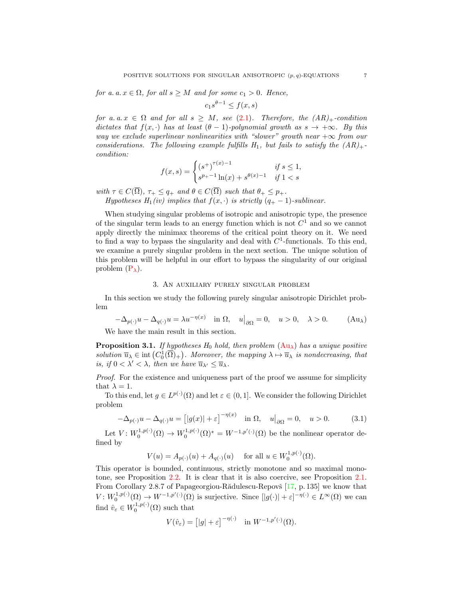for a. a.  $x \in \Omega$ , for all  $s \geq M$  and for some  $c_1 > 0$ . Hence,

$$
c_1 s^{\theta - 1} \le f(x, s)
$$

for a. a.  $x \in \Omega$  and for all  $s \geq M$ , see [\(2.1\)](#page-5-0). Therefore, the  $(AR)_{+}$ -condition dictates that  $f(x, \cdot)$  has at least  $(\theta - 1)$ -polynomial growth as  $s \to +\infty$ . By this way we exclude superlinear nonlinearities with "slower" growth near  $+\infty$  from our considerations. The following example fulfills  $H_1$ , but fails to satisfy the  $(AR)_+$ condition:

$$
f(x,s) = \begin{cases} (s^+)^{\tau(x)-1} & \text{if } s \le 1, \\ s^{p_+ - 1} \ln(x) + s^{\theta(x)-1} & \text{if } 1 < s \end{cases}
$$

with  $\tau \in C(\overline{\Omega})$ ,  $\tau_+ \leq q_+$  and  $\theta \in C(\overline{\Omega})$  such that  $\theta_+ \leq p_+$ . Hypotheses  $H_1(iv)$  implies that  $f(x, \cdot)$  is strictly  $(q_+ - 1)$ -sublinear.

When studying singular problems of isotropic and anisotropic type, the presence of the singular term leads to an energy function which is not  $C<sup>1</sup>$  and so we cannot apply directly the minimax theorems of the critical point theory on it. We need to find a way to bypass the singularity and deal with  $C<sup>1</sup>$ -functionals. To this end, we examine a purely singular problem in the next section. The unique solution of this problem will be helpful in our effort to bypass the singularity of our original problem  $(P_{\lambda})$  $(P_{\lambda})$ .

#### <span id="page-6-0"></span>3. An auxiliary purely singular problem

In this section we study the following purely singular anisotropic Dirichlet problem

 $-\Delta_{p(\cdot)}u - \Delta_{q(\cdot)}u = \lambda u^{-\eta(x)}$  in  $\Omega, \quad u|_{\partial\Omega} = 0, \quad u > 0, \quad \lambda > 0.$  (Au<sub> $\lambda$ </sub>)

We have the main result in this section.

<span id="page-6-2"></span>**Proposition 3.1.** If hypotheses  $H_0$  hold, then problem  $(Au_\lambda)$  $(Au_\lambda)$  has a unique positive solution  $\overline{u}_{\lambda} \in \text{int}(C_0^1(\overline{\Omega})_+)$ . Moreover, the mapping  $\lambda \mapsto \overline{u}_{\lambda}$  is nondecreasing, that is, if  $0 < \lambda' < \lambda$ , then we have  $\overline{u}_{\lambda'} \leq \overline{u}_{\lambda}$ .

Proof. For the existence and uniqueness part of the proof we assume for simplicity that  $\lambda = 1$ .

To this end, let  $g \in L^{p(\cdot)}(\Omega)$  and let  $\varepsilon \in (0,1]$ . We consider the following Dirichlet problem

$$
-\Delta_{p(\cdot)}u - \Delta_{q(\cdot)}u = \left[|g(x)| + \varepsilon\right]^{-\eta(x)} \quad \text{in } \Omega, \quad u|_{\partial\Omega} = 0, \quad u > 0. \tag{3.1}
$$

Let  $V: W_0^{1,p(\cdot)}(\Omega) \to W_0^{1,p(\cdot)}(\Omega)^* = W^{-1,p'(\cdot)}(\Omega)$  be the nonlinear operator defined by

<span id="page-6-1"></span> $V(u) = A_{p(\cdot)}(u) + A_{q(\cdot)}(u)$  for all  $u \in W_0^{1, p(\cdot)}(\Omega)$ .

This operator is bounded, continuous, strictly monotone and so maximal monotone, see Proposition [2.2.](#page-3-0) It is clear that it is also coercive, see Proposition [2.1.](#page-2-0) From Corollary 2.8.7 of Papageorgiou-Rădulescu-Repovš  $[17, p. 135]$  $[17, p. 135]$  we know that  $V: W_0^{1,p(\cdot)}(\Omega) \to W^{-1,p'(\cdot)}(\Omega)$  is surjective. Since  $[|g(\cdot)| + \varepsilon]^{-\eta(\cdot)} \in L^{\infty}(\Omega)$  we can find  $\hat{v}_{\varepsilon} \in W_0^{1,p(\cdot)}(\Omega)$  such that

$$
V(\hat{v}_{\varepsilon}) = [|g| + \varepsilon]^{-\eta(\cdot)} \quad \text{in } W^{-1,p'(\cdot)}(\Omega).
$$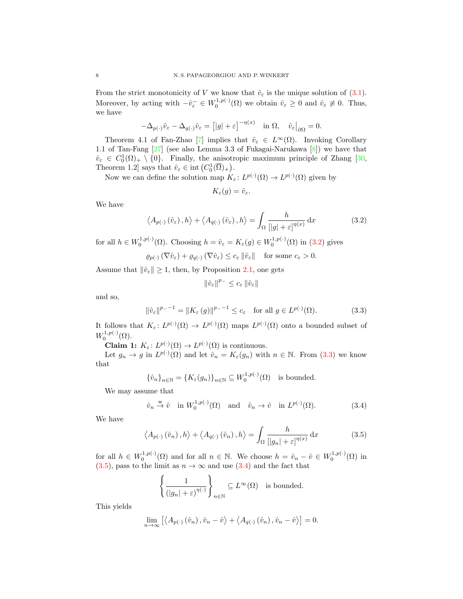From the strict monotonicity of V we know that  $\hat{v}_{\varepsilon}$  is the unique solution of [\(3.1\)](#page-6-1). Moreover, by acting with  $-\hat{v}_{\varepsilon}^- \in W_0^{1,p(\cdot)}(\Omega)$  we obtain  $\hat{v}_{\varepsilon} \geq 0$  and  $\hat{v}_{\varepsilon} \not\equiv 0$ . Thus, we have

$$
-\Delta_{p(\cdot)}\hat{v}_{\varepsilon} - \Delta_{q(\cdot)}\hat{v}_{\varepsilon} = \left[|g| + \varepsilon\right]^{-\eta(x)} \quad \text{in } \Omega, \quad \hat{v}_{\varepsilon}\big|_{\partial\Omega} = 0.
$$

Theorem 4.1 of Fan-Zhao [\[7\]](#page-21-11) implies that  $\hat{v}_{\varepsilon} \in L^{\infty}(\Omega)$ . Invoking Corollary 1.1 of Tan-Fang [\[27\]](#page-22-10) (see also Lemma 3.3 of Fukagai-Narukawa [\[8\]](#page-21-12)) we have that  $\hat{v}_{\varepsilon} \in C_0^1(\Omega)_{+} \setminus \{0\}$ . Finally, the anisotropic maximum principle of Zhang [\[30,](#page-22-11) Theorem 1.2] says that  $\hat{v}_{\varepsilon} \in \text{int}\left(C_0^1(\overline{\Omega})_+\right)$ .

Now we can define the solution map  $K_{\varepsilon}: L^{p(\cdot)}(\Omega) \to L^{p(\cdot)}(\Omega)$  given by

<span id="page-7-0"></span>
$$
K_{\varepsilon}(g)=\hat{v}_{\varepsilon}.
$$

We have

$$
\langle A_{p(\cdot)}\left(\hat{v}_{\varepsilon}\right), h \rangle + \langle A_{q(\cdot)}\left(\hat{v}_{\varepsilon}\right), h \rangle = \int_{\Omega} \frac{h}{\left[ |g| + \varepsilon \right]^{\eta(x)}} \, \mathrm{d}x \tag{3.2}
$$

for all  $h \in W_0^{1,p(\cdot)}(\Omega)$ . Choosing  $h = \hat{v}_{\varepsilon} = K_{\varepsilon}(g) \in W_0^{1,p(\cdot)}(\Omega)$  in [\(3.2\)](#page-7-0) gives

$$
\varrho_{p(\cdot)}\left(\nabla\hat{v}_{\varepsilon}\right) + \varrho_{q(\cdot)}\left(\nabla\hat{v}_{\varepsilon}\right) \leq c_{\varepsilon} \left\|\hat{v}_{\varepsilon}\right\| \quad \text{for some } c_{\varepsilon} > 0.
$$

Assume that  $\|\hat{v}_{\varepsilon}\| \geq 1$ , then, by Proposition [2.1,](#page-2-0) one gets

<span id="page-7-3"></span><span id="page-7-1"></span>
$$
\|\hat{v}_{\varepsilon}\|^{p_-}\leq c_{\varepsilon}\,\|\hat{v}_{\varepsilon}\|
$$

and so,

$$
\|\hat{v}_{\varepsilon}\|^{p_{-}-1} = \|K_{\varepsilon}(g)\|^{p_{-}-1} \le c_{\varepsilon} \quad \text{for all } g \in L^{p(\cdot)}(\Omega). \tag{3.3}
$$

It follows that  $K_{\varepsilon}: L^{p(\cdot)}(\Omega) \to L^{p(\cdot)}(\Omega)$  maps  $L^{p(\cdot)}(\Omega)$  onto a bounded subset of  $W_0^{1,p(\cdot)}(\Omega)$ .

**Claim 1:**  $K_{\varepsilon}: L^{p(\cdot)}(\Omega) \to L^{p(\cdot)}(\Omega)$  is continuous.

Let  $g_n \to g$  in  $L^{p(\cdot)}(\Omega)$  and let  $\hat{v}_n = K_{\varepsilon}(g_n)$  with  $n \in \mathbb{N}$ . From  $(3.3)$  we know that

$$
\{\hat{v}_n\}_{n\in\mathbb{N}} = \{K_{\varepsilon}(g_n)\}_{n\in\mathbb{N}} \subseteq W_0^{1,p(\cdot)}(\Omega) \text{ is bounded.}
$$

We may assume that

$$
\hat{v}_n \stackrel{\text{w}}{\rightarrow} \hat{v} \quad \text{in } W_0^{1,p(\cdot)}(\Omega) \quad \text{and} \quad \hat{v}_n \rightarrow \hat{v} \quad \text{in } L^{p(\cdot)}(\Omega). \tag{3.4}
$$

We have

$$
\langle A_{p(\cdot)}(\hat{v}_n), h \rangle + \langle A_{q(\cdot)}(\hat{v}_n), h \rangle = \int_{\Omega} \frac{h}{\left[ |g_n| + \varepsilon \right]^{\eta(x)}} \, \mathrm{d}x \tag{3.5}
$$

for all  $h \in W_0^{1,p(\cdot)}(\Omega)$  and for all  $n \in \mathbb{N}$ . We choose  $h = \hat{v}_n - \hat{v} \in W_0^{1,p(\cdot)}(\Omega)$  in  $(3.5)$ , pass to the limit as  $n \to \infty$  and use  $(3.4)$  and the fact that

<span id="page-7-2"></span>
$$
\left\{ \frac{1}{(|g_n| + \varepsilon)^{\eta(\cdot)}} \right\}_{n \in \mathbb{N}} \subseteq L^{\infty}(\Omega) \text{ is bounded.}
$$

This yields

$$
\lim_{n \to \infty} \left[ \langle A_{p(\cdot)} (\hat{v}_n), \hat{v}_n - \hat{v} \rangle + \langle A_{q(\cdot)} (\hat{v}_n), \hat{v}_n - \hat{v} \rangle \right] = 0.
$$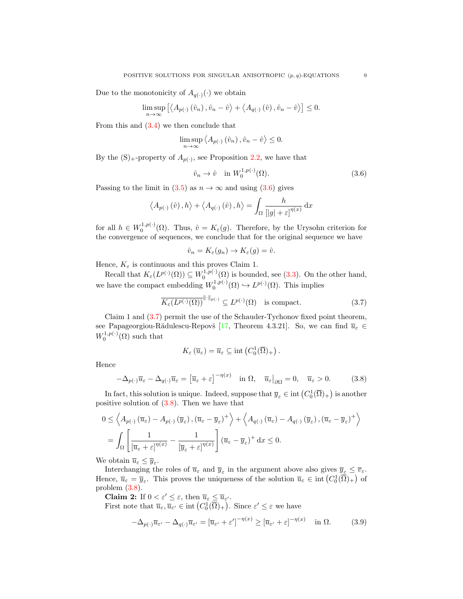Due to the monotonicity of  $A_{q(\cdot)}(\cdot)$  we obtain

$$
\limsup_{n \to \infty} \left[ \langle A_{p(\cdot)} (\hat{v}_n), \hat{v}_n - \hat{v} \rangle + \langle A_{q(\cdot)} (\hat{v}), \hat{v}_n - \hat{v} \rangle \right] \le 0.
$$

From this and  $(3.4)$  we then conclude that

$$
\limsup_{n \to \infty} \left\langle A_{p(\cdot)}\left(\hat{v}_n\right), \hat{v}_n - \hat{v}\right\rangle \le 0.
$$

By the  $(S)$ <sub>+</sub>-property of  $A_{p(.)}$ , see Proposition [2.2,](#page-3-0) we have that

<span id="page-8-0"></span>
$$
\hat{v}_n \to \hat{v} \quad \text{in } W_0^{1, p(\cdot)}(\Omega). \tag{3.6}
$$

Passing to the limit in [\(3.5\)](#page-7-2) as  $n \to \infty$  and using [\(3.6\)](#page-8-0) gives

$$
\langle A_{p(\cdot)}(\hat{v}), h \rangle + \langle A_{q(\cdot)}(\hat{v}), h \rangle = \int_{\Omega} \frac{h}{\left[ |g| + \varepsilon \right]^{n(x)}} dx
$$

for all  $h \in W_0^{1,p(\cdot)}(\Omega)$ . Thus,  $\hat{v} = K_{\varepsilon}(g)$ . Therefore, by the Urysohn criterion for the convergence of sequences, we conclude that for the original sequence we have

<span id="page-8-1"></span>
$$
\hat{v}_n = K_{\varepsilon}(g_n) \to K_{\varepsilon}(g) = \hat{v}.
$$

Hence,  $K_{\varepsilon}$  is continuous and this proves Claim 1.

Recall that  $K_{\varepsilon}(L^{p(\cdot)}(\Omega)) \subseteq W_0^{1,p(\cdot)}(\Omega)$  is bounded, see [\(3.3\)](#page-7-1). On the other hand, we have the compact embedding  $W_0^{1,p(\cdot)}(\Omega) \hookrightarrow L^{p(\cdot)}(\Omega)$ . This implies

$$
\overline{K_{\varepsilon}(L^{p(\cdot)}(\Omega))}^{\|\cdot\|_{p(\cdot)}} \subseteq L^{p(\cdot)}(\Omega) \quad \text{is compact.}
$$
 (3.7)

Claim 1 and [\(3.7\)](#page-8-1) permit the use of the Schauder-Tychonov fixed point theorem, see Papageorgiou-Rădulescu-Repovš [\[17,](#page-21-10) Theorem 4.3.21]. So, we can find  $\overline{u}_{\varepsilon} \in$  $W_0^{1,p(\cdot)}(\Omega)$  such that

<span id="page-8-2"></span>
$$
K_{\varepsilon}(\overline{u}_{\varepsilon})=\overline{u}_{\varepsilon}\subseteq \text{int}\left(C_0^1(\overline{\Omega})_+\right).
$$

Hence

$$
-\Delta_{p(\cdot)}\overline{u}_{\varepsilon} - \Delta_{q(\cdot)}\overline{u}_{\varepsilon} = \left[\overline{u}_{\varepsilon} + \varepsilon\right]^{-\eta(x)} \quad \text{in } \Omega, \quad \overline{u}_{\varepsilon}\big|_{\partial\Omega} = 0, \quad \overline{u}_{\varepsilon} > 0. \tag{3.8}
$$

In fact, this solution is unique. Indeed, suppose that  $\overline{y}_{\varepsilon} \in \text{int}(C_0^1(\overline{\Omega})_+)$  is another positive solution of [\(3.8\)](#page-8-2). Then we have that

$$
0 \leq \left\langle A_{p(\cdot)}\left(\overline{u}_{\varepsilon}\right) - A_{p(\cdot)}\left(\overline{y}_{\varepsilon}\right), \left(\overline{u}_{\varepsilon} - \overline{y}_{\varepsilon}\right)^{+}\right\rangle + \left\langle A_{q(\cdot)}\left(\overline{u}_{\varepsilon}\right) - A_{q(\cdot)}\left(\overline{y}_{\varepsilon}\right), \left(\overline{u}_{\varepsilon} - \overline{y}_{\varepsilon}\right)^{+}\right\rangle
$$

$$
= \int_{\Omega} \left[ \frac{1}{\left[\overline{u}_{\varepsilon} + \varepsilon\right]^{\eta(x)}} - \frac{1}{\left[\overline{y}_{\varepsilon} + \varepsilon\right]^{\eta(x)}} \right] \left(\overline{u}_{\varepsilon} - \overline{y}_{\varepsilon}\right)^{+} dx \leq 0.
$$

We obtain  $\overline{u}_{\varepsilon} \leq \overline{y}_{\varepsilon}$ .

Interchanging the roles of  $\overline{u}_{\varepsilon}$  and  $\overline{y}_{\varepsilon}$  in the argument above also gives  $\overline{y}_{\varepsilon} \leq \overline{v}_{\varepsilon}$ . Hence,  $\overline{u}_{\varepsilon} = \overline{y}_{\varepsilon}$ . This proves the uniqueness of the solution  $\overline{u}_{\varepsilon} \in \text{int}\left(C_0^1(\overline{\Omega})_+\right)$  of problem [\(3.8\)](#page-8-2).

**Claim 2:** If  $0 < \varepsilon' \leq \varepsilon$ , then  $\overline{u}_{\varepsilon} \leq \overline{u}_{\varepsilon'}$ .

First note that  $\overline{u}_{\varepsilon}$ ,  $\overline{u}_{\varepsilon'} \in \text{int}\left(C_0^1(\overline{\Omega})_+\right)$ . Since  $\varepsilon' \leq \varepsilon$  we have

<span id="page-8-3"></span>
$$
-\Delta_{p(\cdot)}\overline{u}_{\varepsilon'} - \Delta_{q(\cdot)}\overline{u}_{\varepsilon'} = [\overline{u}_{\varepsilon'} + \varepsilon']^{-\eta(x)} \geq [\overline{u}_{\varepsilon'} + \varepsilon]^{-\eta(x)} \quad \text{in } \Omega. \tag{3.9}
$$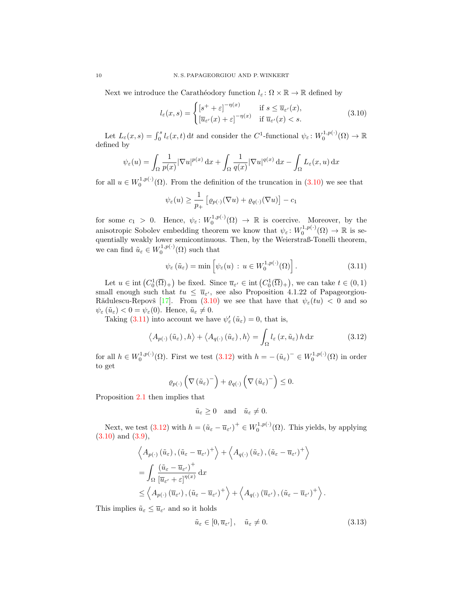Next we introduce the Carathéodory function  $l_{\varepsilon} : \Omega \times \mathbb{R} \to \mathbb{R}$  defined by

<span id="page-9-0"></span>
$$
l_{\varepsilon}(x,s) = \begin{cases} \left[s^{+} + \varepsilon\right]^{-\eta(x)} & \text{if } s \le \overline{u}_{\varepsilon'}(x),\\ \left[\overline{u}_{\varepsilon'}(x) + \varepsilon\right]^{-\eta(x)} & \text{if } \overline{u}_{\varepsilon'}(x) < s. \end{cases}
$$
(3.10)

Let  $L_{\varepsilon}(x, s) = \int_0^s l_{\varepsilon}(x, t) dt$  and consider the C<sup>1</sup>-functional  $\psi_{\varepsilon} : W_0^{1, p(\cdot)}(\Omega) \to \mathbb{R}$ defined by

$$
\psi_{\varepsilon}(u) = \int_{\Omega} \frac{1}{p(x)} |\nabla u|^{p(x)} dx + \int_{\Omega} \frac{1}{q(x)} |\nabla u|^{q(x)} dx - \int_{\Omega} L_{\varepsilon}(x, u) dx
$$

for all  $u \in W_0^{1,p(\cdot)}(\Omega)$ . From the definition of the truncation in  $(3.10)$  we see that

$$
\psi_{\varepsilon}(u) \ge \frac{1}{p_+} \left[ \varrho_{p(\cdot)}(\nabla u) + \varrho_{q(\cdot)}(\nabla u) \right] - c_1
$$

for some  $c_1 > 0$ . Hence,  $\psi_{\varepsilon} : W_0^{1,p(\cdot)}(\Omega) \to \mathbb{R}$  is coercive. Moreover, by the anisotropic Sobolev embedding theorem we know that  $\psi_{\varepsilon} \colon W_0^{1,p(\cdot)}(\Omega) \to \mathbb{R}$  is sequentially weakly lower semicontinuous. Then, by the Weierstraß-Tonelli theorem, we can find  $\tilde{u}_{\varepsilon} \in W_0^{1,p(\cdot)}(\Omega)$  such that

<span id="page-9-1"></span>
$$
\psi_{\varepsilon}(\tilde{u}_{\varepsilon}) = \min \left[ \psi_{\varepsilon}(u) : u \in W_0^{1, p(\cdot)}(\Omega) \right]. \tag{3.11}
$$

Let  $u \in \text{int}(C_0^1(\overline{\Omega})_+)$  be fixed. Since  $\overline{u}_{\varepsilon'} \in \text{int}(C_0^1(\overline{\Omega})_+)$ , we can take  $t \in (0,1)$ small enough such that  $tu \leq \bar{u}_{\varepsilon}$ , see also Proposition 4.1.22 of Papageorgiou-Rădulescu-Repovš [\[17\]](#page-21-10). From [\(3.10\)](#page-9-0) we see that have that  $\psi_{\varepsilon}(tu) < 0$  and so  $\psi_{\varepsilon}(\tilde{u}_{\varepsilon}) < 0 = \psi_{\varepsilon}(0)$ . Hence,  $\tilde{u}_{\varepsilon} \neq 0$ .

Taking [\(3.11\)](#page-9-1) into account we have  $\psi_{\varepsilon}'(\tilde{u}_{\varepsilon}) = 0$ , that is,

$$
\langle A_{p(\cdot)}\left(\tilde{u}_{\varepsilon}\right), h \rangle + \langle A_{q(\cdot)}\left(\tilde{u}_{\varepsilon}\right), h \rangle = \int_{\Omega} l_{\varepsilon}\left(x, \tilde{u}_{\varepsilon}\right) h \, \mathrm{d}x \tag{3.12}
$$

for all  $h \in W_0^{1,p(\cdot)}(\Omega)$ . First we test  $(3.12)$  with  $h = -(\tilde{u}_{\varepsilon})^-\in W_0^{1,p(\cdot)}(\Omega)$  in order to get

$$
\varrho_{p(\cdot)}\left(\nabla\left(\tilde{u}_{\varepsilon}\right)^{-}\right)+\varrho_{q(\cdot)}\left(\nabla\left(\tilde{u}_{\varepsilon}\right)^{-}\right)\leq 0.
$$

Proposition [2.1](#page-2-0) then implies that

<span id="page-9-2"></span>
$$
\tilde{u}_{\varepsilon} \ge 0
$$
 and  $\tilde{u}_{\varepsilon} \ne 0$ .

Next, we test [\(3.12\)](#page-9-2) with  $h = (\tilde{u}_{\varepsilon} - \overline{u}_{\varepsilon'})^+ \in W_0^{1,p(\cdot)}(\Omega)$ . This yields, by applying [\(3.10\)](#page-9-0) and [\(3.9\)](#page-8-3),

$$
\left\langle A_{p(\cdot)}(\tilde{u}_{\varepsilon}), (\tilde{u}_{\varepsilon} - \overline{u}_{\varepsilon'})^+ \right\rangle + \left\langle A_{q(\cdot)}(\tilde{u}_{\varepsilon}), (\tilde{u}_{\varepsilon} - \overline{u}_{\varepsilon'})^+ \right\rangle \n= \int_{\Omega} \frac{(\tilde{u}_{\varepsilon} - \overline{u}_{\varepsilon'})^+}{\left[\overline{u}_{\varepsilon'} + \varepsilon\right]^{\eta(x)}} dx \n\leq \left\langle A_{p(\cdot)}(\overline{u}_{\varepsilon'}), (\tilde{u}_{\varepsilon} - \overline{u}_{\varepsilon'})^+ \right\rangle + \left\langle A_{q(\cdot)}(\overline{u}_{\varepsilon'}), (\tilde{u}_{\varepsilon} - \overline{u}_{\varepsilon'})^+ \right\rangle.
$$

This implies  $\tilde{u}_{\varepsilon} \leq \overline{u}_{\varepsilon'}$  and so it holds

<span id="page-9-3"></span>
$$
\tilde{u}_{\varepsilon} \in [0, \overline{u}_{\varepsilon'}], \quad \tilde{u}_{\varepsilon} \neq 0. \tag{3.13}
$$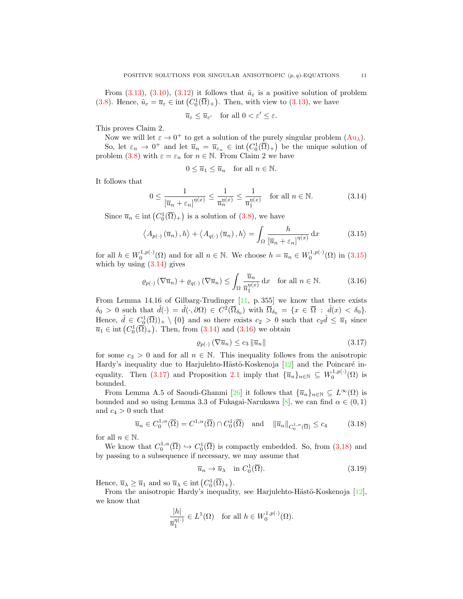From [\(3.13\)](#page-9-3), [\(3.10\)](#page-9-0), [\(3.12\)](#page-9-2) it follows that  $\tilde{u}_{\varepsilon}$  is a positive solution of problem [\(3.8\)](#page-8-2). Hence,  $\tilde{u}_{\varepsilon} = \overline{u}_{\varepsilon} \in \text{int}(C_0^1(\overline{\Omega})_+)$ . Then, with view to [\(3.13\)](#page-9-3), we have

$$
\overline{u}_{\varepsilon} \le \overline{u}_{\varepsilon'} \quad \text{for all } 0 < \varepsilon' \le \varepsilon.
$$

This proves Claim 2.

Now we will let  $\varepsilon \to 0^+$  to get a solution of the purely singular problem  $(Au_\lambda)$  $(Au_\lambda)$ . So, let  $\varepsilon_n \to 0^+$  and let  $\overline{u}_n = \overline{u}_{\varepsilon_n} \in \text{int}\left(C_0^1(\overline{\Omega})_+\right)$  be the unique solution of problem [\(3.8\)](#page-8-2) with  $\varepsilon = \varepsilon_n$  for  $n \in \mathbb{N}$ . From Claim 2 we have

<span id="page-10-1"></span><span id="page-10-0"></span>
$$
0 \le \overline{u}_1 \le \overline{u}_n \quad \text{for all } n \in \mathbb{N}.
$$

It follows that

$$
0 \le \frac{1}{\left[\overline{u}_n + \varepsilon_n\right]^{n(x)}} \le \frac{1}{\overline{u}_n^{n(x)}} \le \frac{1}{\overline{u}_1^{n(x)}} \quad \text{for all } n \in \mathbb{N}.
$$
 (3.14)

Since  $\overline{u}_n \in \text{int}(C_0^1(\overline{\Omega})_+)$  is a solution of  $(3.8)$ , we have

$$
\left\langle A_{p(\cdot)}\left(\overline{u}_n\right), h\right\rangle + \left\langle A_{q(\cdot)}\left(\overline{u}_n\right), h\right\rangle = \int_{\Omega} \frac{h}{\left[\overline{u}_n + \varepsilon_n\right]^{n(x)}} \, \mathrm{d}x \tag{3.15}
$$

for all  $h \in W_0^{1,p(\cdot)}(\Omega)$  and for all  $n \in \mathbb{N}$ . We choose  $h = \overline{u}_n \in W_0^{1,p(\cdot)}(\Omega)$  in  $(3.15)$ which by using  $(3.14)$  gives

$$
\varrho_{p(\cdot)}\left(\nabla \overline{u}_n\right) + \varrho_{q(\cdot)}\left(\nabla \overline{u}_n\right) \le \int_{\Omega} \frac{\overline{u}_n}{\overline{u}_1^{\eta(x)}} \, \mathrm{d}x \quad \text{for all } n \in \mathbb{N}.\tag{3.16}
$$

From Lemma 14.16 of Gilbarg-Trudinger [\[11,](#page-21-13) p. 355] we know that there exists  $\delta_0 > 0$  such that  $\hat{d}(\cdot) = \hat{d}(\cdot, \partial \Omega) \in C^2(\overline{\Omega}_{\delta_0})$  with  $\overline{\Omega}_{\delta_0} = \{x \in \overline{\Omega} : \hat{d}(x) < \delta_0\}.$ Hence,  $\hat{d} \in C_0^1(\overline{\Omega})$  +  $\setminus \{0\}$  and so there exists  $c_2 > 0$  such that  $c_2\hat{d} \leq \overline{u}_1$  since  $\overline{u}_1 \in \text{int}(C_0^1(\overline{\Omega})_+)$ . Then, from  $(3.14)$  and  $(3.16)$  we obtain

<span id="page-10-3"></span><span id="page-10-2"></span>
$$
\varrho_{p(\cdot)}\left(\nabla\overline{u}_n\right) \le c_3 \left\|\overline{u}_n\right\| \tag{3.17}
$$

for some  $c_3 > 0$  and for all  $n \in \mathbb{N}$ . This inequality follows from the anisotropic Hardy's inequality due to Harjulehto-Hästö-Koskenoja  $[12]$  and the Poincaré in-equality. Then [\(3.17\)](#page-10-3) and Proposition [2.1](#page-2-0) imply that  $\{\overline{u}_n\}_{n\in\mathbb{N}} \subseteq W_0^{1,p(\cdot)}(\Omega)$  is bounded.

From Lemma A.5 of Saoudi-Ghanmi [\[26\]](#page-22-3) it follows that  $\{\overline{u}_n\}_{n\in\mathbb{N}}\subseteq L^{\infty}(\Omega)$  is bounded and so using Lemma 3.3 of Fukagai-Narukawa [\[8\]](#page-21-12), we can find  $\alpha \in (0,1)$ and  $c_4 > 0$  such that

$$
\overline{u}_n \in C_0^{1,\alpha}(\overline{\Omega}) = C^{1,\alpha}(\overline{\Omega}) \cap C_0^1(\overline{\Omega}) \quad \text{and} \quad \|\overline{u}_n\|_{C_0^{1,\alpha}(\overline{\Omega})} \le c_4 \tag{3.18}
$$

for all  $n \in \mathbb{N}$ .

We know that  $C_0^{1,\alpha}(\overline{\Omega}) \hookrightarrow C_0^1(\overline{\Omega})$  is compactly embedded. So, from [\(3.18\)](#page-10-4) and by passing to a subsequence if necessary, we may assume that

<span id="page-10-5"></span><span id="page-10-4"></span>
$$
\overline{u}_n \to \overline{u}_\lambda \quad \text{in } C_0^1(\overline{\Omega}).\tag{3.19}
$$

Hence,  $\overline{u}_{\lambda} \geq \overline{u}_1$  and so  $\overline{u}_{\lambda} \in \text{int}(C_0^1(\overline{\Omega})_+)$ .

From the anisotropic Hardy's inequality, see Harjulehto-Hästö-Koskenoja  $[12]$ , we know that

$$
\frac{|h|}{\overline{u}_1^{\eta(\cdot)}} \in L^1(\Omega) \quad \text{for all } h \in W_0^{1,p(\cdot)}(\Omega).
$$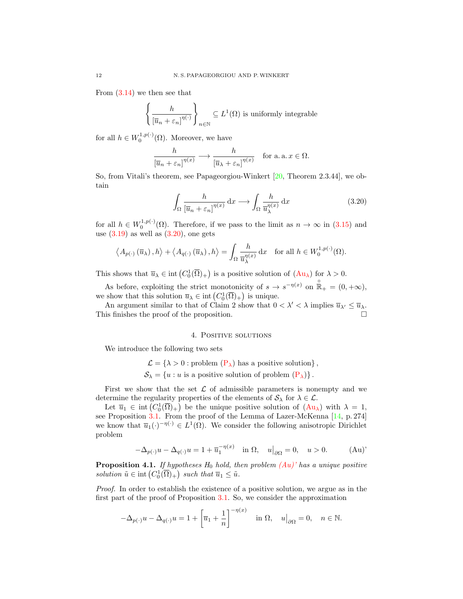From [\(3.14\)](#page-10-1) we then see that

$$
\left\{ \frac{h}{\left[\overline{u}_n + \varepsilon_n\right]^{\eta(\cdot)}} \right\}_{n \in \mathbb{N}} \subseteq L^1(\Omega) \text{ is uniformly integrable}
$$

for all  $h \in W_0^{1,p(\cdot)}(\Omega)$ . Moreover, we have

$$
\frac{h}{[\overline{u}_n + \varepsilon_n]^{\eta(x)}} \longrightarrow \frac{h}{[\overline{u}_\lambda + \varepsilon_n]^{\eta(x)}} \quad \text{for a. a. } x \in \Omega.
$$

So, from Vitali's theorem, see Papageorgiou-Winkert [\[20,](#page-22-12) Theorem 2.3.44], we obtain

<span id="page-11-0"></span>
$$
\int_{\Omega} \frac{h}{\left[\overline{u}_n + \varepsilon_n\right]^{\eta(x)}} \, \mathrm{d}x \longrightarrow \int_{\Omega} \frac{h}{\overline{u}_{\lambda}^{\eta(x)}} \, \mathrm{d}x \tag{3.20}
$$

for all  $h \in W_0^{1,p(\cdot)}(\Omega)$ . Therefore, if we pass to the limit as  $n \to \infty$  in  $(3.15)$  and use  $(3.19)$  as well as  $(3.20)$ , one gets

$$
\langle A_{p(\cdot)}(\overline{u}_{\lambda}), h \rangle + \langle A_{q(\cdot)}(\overline{u}_{\lambda}), h \rangle = \int_{\Omega} \frac{h}{\overline{u}_{\lambda}^{\eta(x)}} dx \text{ for all } h \in W_0^{1, p(\cdot)}(\Omega).
$$

This shows that  $\overline{u}_{\lambda} \in \text{int}(C_0^1(\overline{\Omega})_+)$  is a positive solution of  $(Au_{\lambda})$  $(Au_{\lambda})$  for  $\lambda > 0$ .

As before, exploiting the strict monotonicity of  $s \to s^{-\eta(x)}$  on  $\mathbb{R}_+ = (0, +\infty)$ , we show that this solution  $\overline{u}_{\lambda} \in \text{int}\left(C_0^1(\overline{\Omega})_+\right)$  is unique.

An argument similar to that of Claim 2 show that  $0 < \lambda' < \lambda$  implies  $\overline{u}_{\lambda'} \leq \overline{u}_{\lambda}$ . This finishes the proof of the proposition.

#### <span id="page-11-1"></span>4. POSITIVE SOLUTIONS

We introduce the following two sets

 $\mathcal{L} = \{\lambda > 0 :$  problem  $(P_{\lambda})$  $(P_{\lambda})$  has a positive solution},

 $S_{\lambda} = \{u : u \text{ is a positive solution of problem } (\mathbf{P}_{\lambda})\}.$ 

First we show that the set  $\mathcal L$  of admissible parameters is nonempty and we determine the regularity properties of the elements of  $S_\lambda$  for  $\lambda \in \mathcal{L}$ .

Let  $\overline{u}_1 \in \text{int}(C_0^1(\overline{\Omega})_+)$  be the unique positive solution of  $(Au_\lambda)$  $(Au_\lambda)$  with  $\lambda = 1$ , see Proposition [3.1.](#page-6-2) From the proof of the Lemma of Lazer-McKenna [\[14,](#page-21-15) p. 274] we know that  $\overline{u}_1(\cdot)^{-\eta(\cdot)} \in L^1(\Omega)$ . We consider the following anisotropic Dirichlet problem

$$
-\Delta_{p(\cdot)}u - \Delta_{q(\cdot)}u = 1 + \overline{u}_1^{-\eta(x)} \quad \text{in } \Omega, \quad u|_{\partial\Omega} = 0, \quad u > 0. \tag{Au}
$$

<span id="page-11-2"></span>**Proposition 4.1.** If hypotheses  $H_0$  hold, then problem  $(Au)'$  has a unique positive solution  $\tilde{u} \in \text{int}\left(C_0^1(\overline{\Omega})_+\right)$  such that  $\overline{u}_1 \leq \tilde{u}$ .

Proof. In order to establish the existence of a positive solution, we argue as in the first part of the proof of Proposition [3.1.](#page-6-2) So, we consider the approximation

$$
-\Delta_{p(\cdot)}u - \Delta_{q(\cdot)}u = 1 + \left[\overline{u}_1 + \frac{1}{n}\right]^{-\eta(x)} \quad \text{in } \Omega, \quad u|_{\partial\Omega} = 0, \quad n \in \mathbb{N}.
$$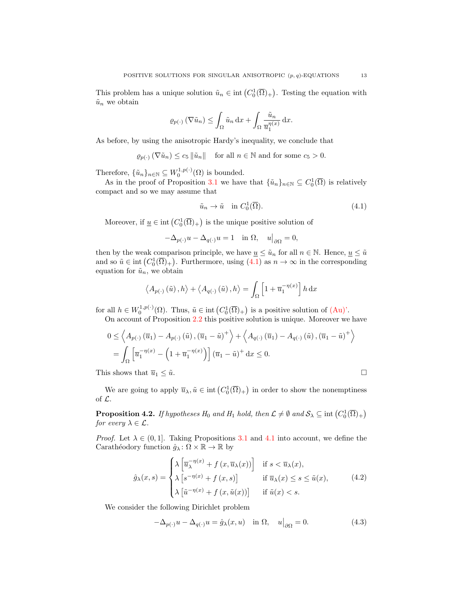This problem has a unique solution  $\tilde{u}_n \in \text{int}\left(C_0^1(\overline{\Omega})_+\right)$ . Testing the equation with  $\tilde{u}_n$  we obtain

$$
\varrho_{p(\cdot)}\left(\nabla \tilde{u}_n\right) \leq \int_{\Omega} \tilde{u}_n \,dx + \int_{\Omega} \frac{\tilde{u}_n}{\overline{u}_1^{\eta(x)}} \,dx.
$$

As before, by using the anisotropic Hardy's inequality, we conclude that

 $\rho_{n(\cdot)}(\nabla \tilde{u}_n) \leq c_5 \|\tilde{u}_n\|$  for all  $n \in \mathbb{N}$  and for some  $c_5 > 0$ .

Therefore,  $\{\tilde{u}_n\}_{n\in\mathbb{N}} \subseteq W_0^{1,p(\cdot)}(\Omega)$  is bounded.

As in the proof of Proposition [3.1](#page-6-2) we have that  $\{\tilde{u}_n\}_{n\in\mathbb{N}} \subseteq C_0^1(\overline{\Omega})$  is relatively compact and so we may assume that

<span id="page-12-0"></span>
$$
\tilde{u}_n \to \tilde{u} \quad \text{in } C_0^1(\overline{\Omega}).\tag{4.1}
$$

Moreover, if  $\underline{u} \in \text{int}\left(C_0^1(\overline{\Omega})_+\right)$  is the unique positive solution of

$$
-\Delta_{p(\cdot)}u - \Delta_{q(\cdot)}u = 1 \quad \text{in } \Omega, \quad u|_{\partial\Omega} = 0,
$$

then by the weak comparison principle, we have  $\underline{u} \leq \tilde{u}_n$  for all  $n \in \mathbb{N}$ . Hence,  $\underline{u} \leq \tilde{u}$ and so  $\tilde{u} \in \text{int}(C_0^1(\overline{\Omega})_+)$ . Furthermore, using  $(4.1)$  as  $n \to \infty$  in the corresponding equation for  $\tilde{u}_n$ , we obtain

$$
\langle A_{p(\cdot)}(\tilde{u}), h \rangle + \langle A_{q(\cdot)}(\tilde{u}), h \rangle = \int_{\Omega} \left[ 1 + \overline{u}_1^{-\eta(x)} \right] h \, dx
$$

for all  $h \in W_0^{1,p(\cdot)}(\Omega)$ . Thus,  $\tilde{u} \in \text{int}\left(C_0^1(\overline{\Omega})_+\right)$  is a positive solution of  $(\text{Au})$ '.

On account of Proposition [2.2](#page-3-0) this positive solution is unique. Moreover we have

$$
0 \le \left\langle A_{p(\cdot)}\left(\overline{u}_1\right) - A_{p(\cdot)}\left(\tilde{u}\right), \left(\overline{u}_1 - \tilde{u}\right)^+ \right\rangle + \left\langle A_{q(\cdot)}\left(\overline{u}_1\right) - A_{q(\cdot)}\left(\tilde{u}\right), \left(\overline{u}_1 - \tilde{u}\right)^+ \right\rangle
$$
  
= 
$$
\int_{\Omega} \left[ \overline{u}_1^{-\eta(x)} - \left(1 + \overline{u}_1^{-\eta(x)}\right) \right] \left(\overline{u}_1 - \tilde{u}\right)^+ dx \le 0.
$$

This shows that  $\overline{u}_1 \leq \tilde{u}$ .

We are going to apply  $\overline{u}_{\lambda}, \tilde{u} \in \text{int}\left(C_0^1(\overline{\Omega})_+\right)$  in order to show the nonemptiness of L.

<span id="page-12-3"></span>**Proposition 4.2.** If hypotheses  $H_0$  and  $H_1$  hold, then  $\mathcal{L} \neq \emptyset$  and  $\mathcal{S}_\lambda \subseteq \text{int}(C_0^1(\overline{\Omega})_+)$ for every  $\lambda \in \mathcal{L}$ .

*Proof.* Let  $\lambda \in (0,1]$ . Taking Propositions [3.1](#page-6-2) and [4.1](#page-11-2) into account, we define the Carathéodory function  $\hat{g}_{\lambda} : \Omega \times \mathbb{R} \to \mathbb{R}$  by

$$
\hat{g}_{\lambda}(x,s) = \begin{cases}\n\lambda \left[\overline{u}_{\lambda}^{-\eta(x)} + f(x,\overline{u}_{\lambda}(x))\right] & \text{if } s < \overline{u}_{\lambda}(x), \\
\lambda \left[s^{-\eta(x)} + f(x,s)\right] & \text{if } \overline{u}_{\lambda}(x) \le s \le \tilde{u}(x), \\
\lambda \left[\tilde{u}^{-\eta(x)} + f(x,\tilde{u}(x))\right] & \text{if } \tilde{u}(x) < s.\n\end{cases}
$$
\n(4.2)

We consider the following Dirichlet problem

<span id="page-12-2"></span><span id="page-12-1"></span>
$$
-\Delta_{p(\cdot)}u - \Delta_{q(\cdot)}u = \hat{g}_{\lambda}(x, u) \quad \text{in } \Omega, \quad u\big|_{\partial\Omega} = 0. \tag{4.3}
$$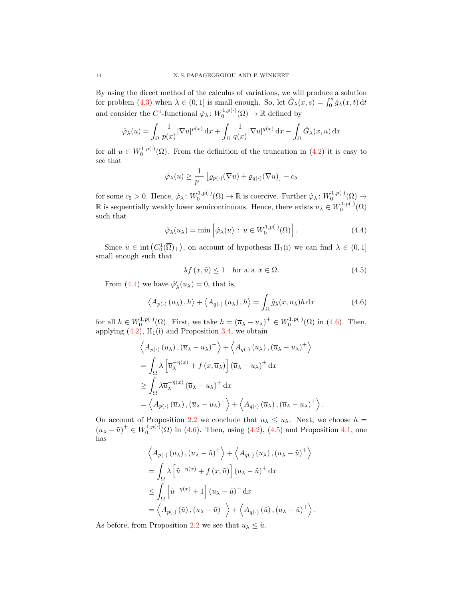By using the direct method of the calculus of variations, we will produce a solution for problem [\(4.3\)](#page-12-1) when  $\lambda \in (0,1]$  is small enough. So, let  $\hat{G}_{\lambda}(x,s) = \int_0^s \hat{g}_{\lambda}(x,t) dt$ and consider the C<sup>1</sup>-functional  $\hat{\varphi}_{\lambda} : W_0^{1,p(\cdot)}(\Omega) \to \mathbb{R}$  defined by

$$
\hat{\varphi}_{\lambda}(u) = \int_{\Omega} \frac{1}{p(x)} |\nabla u|^{p(x)} dx + \int_{\Omega} \frac{1}{q(x)} |\nabla u|^{q(x)} dx - \int_{\Omega} \hat{G}_{\lambda}(x, u) dx
$$

for all  $u \in W_0^{1,p(\cdot)}(\Omega)$ . From the definition of the truncation in [\(4.2\)](#page-12-2) it is easy to see that

$$
\hat{\varphi}_{\lambda}(u) \ge \frac{1}{p_+} \left[ \varrho_{p(\cdot)}(\nabla u) + \varrho_{q(\cdot)}(\nabla u) \right] - c_5
$$

for some  $c_5 > 0$ . Hence,  $\hat{\varphi}_{\lambda} : W_0^{1,p(\cdot)}(\Omega) \to \mathbb{R}$  is coercive. Further  $\hat{\varphi}_{\lambda} : W_0^{1,p(\cdot)}(\Omega) \to$ R is sequentially weakly lower semicontinuous. Hence, there exists  $u_{\lambda} \in W_0^{1,p(\cdot)}(\Omega)$ such that

$$
\hat{\varphi}_{\lambda}(u_{\lambda}) = \min \left[ \hat{\varphi}_{\lambda}(u) : u \in W_0^{1, p(\cdot)}(\Omega) \right]. \tag{4.4}
$$

Since  $\tilde{u} \in \text{int}(C_0^1(\overline{\Omega})_+)$ , on account of hypothesis  $H_1(i)$  we can find  $\lambda \in (0,1]$ small enough such that

<span id="page-13-2"></span><span id="page-13-1"></span><span id="page-13-0"></span>
$$
\lambda f(x, \tilde{u}) \le 1 \quad \text{for a. a. } x \in \Omega.
$$
\n
$$
(4.5)
$$

From [\(4.4\)](#page-13-0) we have  $\hat{\varphi}'_{\lambda}(u_{\lambda}) = 0$ , that is,

$$
\langle A_{p(\cdot)}(u_{\lambda}), h \rangle + \langle A_{q(\cdot)}(u_{\lambda}), h \rangle = \int_{\Omega} \hat{g}_{\lambda}(x, u_{\lambda}) h \, dx \tag{4.6}
$$

for all  $h \in W_0^{1,p(\cdot)}(\Omega)$ . First, we take  $h = (\overline{u}_{\lambda} - u_{\lambda})^+ \in W_0^{1,p(\cdot)}(\Omega)$  in [\(4.6\)](#page-13-1). Then, applying  $(4.2)$ ,  $H_1(i)$  and Proposition [3.4,](#page-7-3) we obtain

$$
\left\langle A_{p(\cdot)}(u_{\lambda}), (\overline{u}_{\lambda} - u_{\lambda})^{+} \right\rangle + \left\langle A_{q(\cdot)}(u_{\lambda}), (\overline{u}_{\lambda} - u_{\lambda})^{+} \right\rangle
$$
  
=  $\int_{\Omega} \lambda \left[ \overline{u}_{\lambda}^{-\eta(x)} + f(x, \overline{u}_{\lambda}) \right] (\overline{u}_{\lambda} - u_{\lambda})^{+} dx$   
 $\geq \int_{\Omega} \lambda \overline{u}_{\lambda}^{-\eta(x)} (\overline{u}_{\lambda} - u_{\lambda})^{+} dx$   
=  $\left\langle A_{p(\cdot)}(\overline{u}_{\lambda}), (\overline{u}_{\lambda} - u_{\lambda})^{+} \right\rangle + \left\langle A_{q(\cdot)}(\overline{u}_{\lambda}), (\overline{u}_{\lambda} - u_{\lambda})^{+} \right\rangle.$ 

On account of Proposition [2.2](#page-3-0) we conclude that  $\overline{u}_{\lambda} \leq u_{\lambda}$ . Next, we choose  $h =$  $(u_{\lambda} - \tilde{u})^+ \in W_0^{1,p(\cdot)}(\Omega)$  in [\(4.6\)](#page-13-1). Then, using [\(4.2\)](#page-12-2), [\(4.5\)](#page-13-2) and Proposition [4.1,](#page-11-2) one has

$$
\left\langle A_{p(\cdot)}(u_{\lambda}), (u_{\lambda} - \tilde{u})^{+} \right\rangle + \left\langle A_{q(\cdot)}(u_{\lambda}), (u_{\lambda} - \tilde{u})^{+} \right\rangle
$$
  
=  $\int_{\Omega} \lambda \left[ \tilde{u}^{-\eta(x)} + f(x, \tilde{u}) \right] (u_{\lambda} - \tilde{u})^{+} dx$   
 $\leq \int_{\Omega} \left[ \tilde{u}^{-\eta(x)} + 1 \right] (u_{\lambda} - \tilde{u})^{+} dx$   
=  $\left\langle A_{p(\cdot)}(\tilde{u}), (u_{\lambda} - \tilde{u})^{+} \right\rangle + \left\langle A_{q(\cdot)}(\tilde{u}), (u_{\lambda} - \tilde{u})^{+} \right\rangle.$ 

As before, from Proposition [2.2](#page-3-0) we see that  $u_{\lambda} \leq \tilde{u}$ .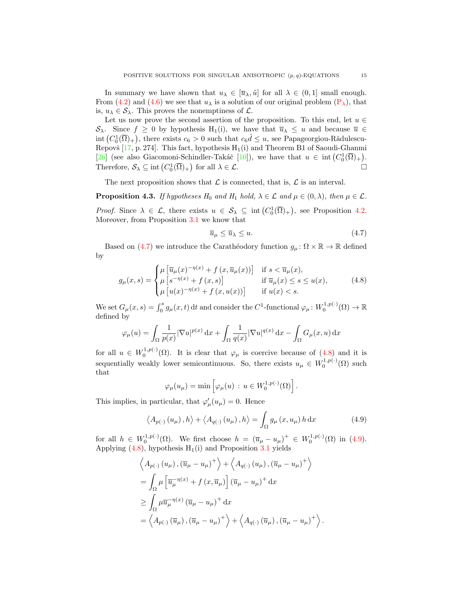In summary we have shown that  $u_{\lambda} \in [\overline{u}_{\lambda}, \tilde{u}]$  for all  $\lambda \in (0, 1]$  small enough. From [\(4.2\)](#page-12-2) and [\(4.6\)](#page-13-1) we see that  $u_{\lambda}$  is a solution of our original problem  $(P_{\lambda})$  $(P_{\lambda})$ , that is,  $u_{\lambda} \in \mathcal{S}_{\lambda}$ . This proves the nonemptiness of  $\mathcal{L}$ .

Let us now prove the second assertion of the proposition. To this end, let  $u \in$  $\mathcal{S}_{\lambda}$ . Since  $f \geq 0$  by hypothesis H<sub>1</sub>(i), we have that  $\overline{u}_{\lambda} \leq u$  and because  $\overline{u} \in$  $\text{int}\left(C_0^1(\overline{\Omega})_+\right)$ , there exists  $c_6 > 0$  such that  $c_6 \hat{d} \leq u$ , see Papageorgiou-Rădulescu-Repovš [\[17,](#page-21-10) p. 274]. This fact, hypothesis  $H_1(i)$  and Theorem B1 of Saoudi-Ghanmi [\[26\]](#page-22-3) (see also Giacomoni-Schindler-Takáč [\[10\]](#page-21-16)), we have that  $u \in \text{int}(C_0^1(\overline{\Omega})_+)$ . Therefore,  $S_{\lambda} \subseteq \text{int}(C_0^1(\overline{\Omega})_+)$  for all  $\lambda \in \mathcal{L}$ .

The next proposition shows that  $\mathcal L$  is connected, that is,  $\mathcal L$  is an interval.

**Proposition 4.3.** If hypotheses  $H_0$  and  $H_1$  hold,  $\lambda \in \mathcal{L}$  and  $\mu \in (0, \lambda)$ , then  $\mu \in \mathcal{L}$ .

*Proof.* Since  $\lambda \in \mathcal{L}$ , there exists  $u \in \mathcal{S}_{\lambda} \subseteq \text{int}(C_0^1(\overline{\Omega})_+)$ , see Proposition [4.2.](#page-12-3) Moreover, from Proposition [3.1](#page-6-2) we know that

<span id="page-14-1"></span><span id="page-14-0"></span>
$$
\overline{u}_{\mu} \le \overline{u}_{\lambda} \le u. \tag{4.7}
$$

Based on [\(4.7\)](#page-14-0) we introduce the Carathéodory function  $g_{\mu} : \Omega \times \mathbb{R} \to \mathbb{R}$  defined by

$$
g_{\mu}(x,s) = \begin{cases} \mu \left[ \overline{u}_{\mu}(x)^{-\eta(x)} + f(x, \overline{u}_{\mu}(x)) \right] & \text{if } s < \overline{u}_{\mu}(x), \\ \mu \left[ s^{-\eta(x)} + f(x,s) \right] & \text{if } \overline{u}_{\mu}(x) \le s \le u(x), \\ \mu \left[ u(x)^{-\eta(x)} + f(x, u(x)) \right] & \text{if } u(x) < s. \end{cases}
$$
(4.8)

We set  $G_{\mu}(x, s) = \int_0^s g_{\mu}(x, t) dt$  and consider the  $C^1$ -functional  $\varphi_{\mu} : W_0^{1, p(\cdot)}(\Omega) \to \mathbb{R}$ defined by

$$
\varphi_{\mu}(u) = \int_{\Omega} \frac{1}{p(x)} |\nabla u|^{p(x)} dx + \int_{\Omega} \frac{1}{q(x)} |\nabla u|^{q(x)} dx - \int_{\Omega} G_{\mu}(x, u) dx
$$

for all  $u \in W_0^{1,p(\cdot)}(\Omega)$ . It is clear that  $\varphi_\mu$  is coercive because of  $(4.8)$  and it is sequentially weakly lower semicontinuous. So, there exists  $u_{\mu} \in W_0^{1,p(\cdot)}(\Omega)$  such that

<span id="page-14-2"></span>
$$
\varphi_{\mu}(u_{\mu}) = \min \left[ \varphi_{\mu}(u) \, : \, u \in W_0^{1, p(\cdot)}(\Omega) \right].
$$

This implies, in particular, that  $\varphi'_{\mu}(u_{\mu}) = 0$ . Hence

$$
\langle A_{p(\cdot)}(u_{\mu}), h \rangle + \langle A_{q(\cdot)}(u_{\mu}), h \rangle = \int_{\Omega} g_{\mu}(x, u_{\mu}) h \, dx \tag{4.9}
$$

for all  $h \in W_0^{1,p(\cdot)}(\Omega)$ . We first choose  $h = (\overline{u}_{\mu} - u_{\mu})^+ \in W_0^{1,p(\cdot)}(\Omega)$  in [\(4.9\)](#page-14-2). Applying  $(4.8)$ , hypothesis H<sub>1</sub>(i) and Proposition [3.1](#page-6-2) yields

$$
\left\langle A_{p(\cdot)}(u_{\mu}), (\overline{u}_{\mu} - u_{\mu})^{+} \right\rangle + \left\langle A_{q(\cdot)}(u_{\mu}), (\overline{u}_{\mu} - u_{\mu})^{+} \right\rangle
$$
  
\n
$$
= \int_{\Omega} \mu \left[ \overline{u}_{\mu}^{-\eta(x)} + f(x, \overline{u}_{\mu}) \right] (\overline{u}_{\mu} - u_{\mu})^{+} dx
$$
  
\n
$$
\geq \int_{\Omega} \mu \overline{u}_{\mu}^{-\eta(x)} (\overline{u}_{\mu} - u_{\mu})^{+} dx
$$
  
\n
$$
= \left\langle A_{p(\cdot)}(\overline{u}_{\mu}), (\overline{u}_{\mu} - u_{\mu})^{+} \right\rangle + \left\langle A_{q(\cdot)}(\overline{u}_{\mu}), (\overline{u}_{\mu} - u_{\mu})^{+} \right\rangle.
$$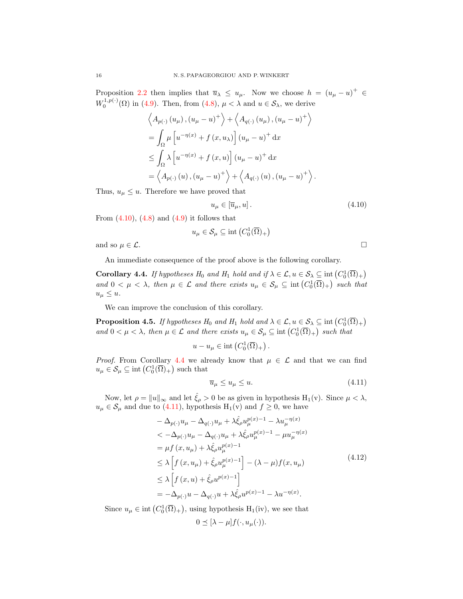Proposition [2.2](#page-3-0) then implies that  $\overline{u}_{\lambda} \leq u_{\mu}$ . Now we choose  $h = (u_{\mu} - u)^{+} \in$  $W_0^{1,p(\cdot)}(\Omega)$  in [\(4.9\)](#page-14-2). Then, from [\(4.8\)](#page-14-1),  $\mu < \lambda$  and  $u \in S_\lambda$ , we derive

$$
\left\langle A_{p(\cdot)}(u_{\mu}), (u_{\mu} - u)^+ \right\rangle + \left\langle A_{q(\cdot)}(u_{\mu}), (u_{\mu} - u)^+ \right\rangle
$$
  
=  $\int_{\Omega} \mu \left[ u^{-\eta(x)} + f(x, u_{\lambda}) \right] (u_{\mu} - u)^+ dx$   

$$
\leq \int_{\Omega} \lambda \left[ u^{-\eta(x)} + f(x, u) \right] (u_{\mu} - u)^+ dx
$$
  
=  $\left\langle A_{p(\cdot)}(u), (u_{\mu} - u)^+ \right\rangle + \left\langle A_{q(\cdot)}(u), (u_{\mu} - u)^+ \right\rangle.$ 

Thus,  $u_{\mu} \leq u$ . Therefore we have proved that

<span id="page-15-0"></span>
$$
u_{\mu} \in [\overline{u}_{\mu}, u]. \tag{4.10}
$$

From  $(4.10)$ ,  $(4.8)$  and  $(4.9)$  it follows that

$$
u_{\mu} \in \mathcal{S}_{\mu} \subseteq \text{int}\left(C_0^1(\overline{\Omega})_+\right)
$$

and so  $\mu \in \mathcal{L}$ .

An immediate consequence of the proof above is the following corollary.

<span id="page-15-1"></span>**Corollary 4.4.** If hypotheses  $H_0$  and  $H_1$  hold and if  $\lambda \in \mathcal{L}$ ,  $u \in \mathcal{S}_\lambda \subseteq \text{int}(C_0^1(\overline{\Omega})_+)$ and  $0 < \mu < \lambda$ , then  $\mu \in \mathcal{L}$  and there exists  $u_{\mu} \in \mathcal{S}_{\mu} \subseteq \text{int}(C_0^1(\overline{\Omega})_+)$  such that  $u_{\mu} \leq u.$ 

We can improve the conclusion of this corollary.

<span id="page-15-4"></span>**Proposition 4.5.** If hypotheses  $H_0$  and  $H_1$  hold and  $\lambda \in \mathcal{L}$ ,  $u \in \mathcal{S}_\lambda \subseteq \text{int}(C_0^1(\overline{\Omega})_+)$ and  $0 < \mu < \lambda$ , then  $\mu \in \mathcal{L}$  and there exists  $u_{\mu} \in \mathcal{S}_{\mu} \subseteq \text{int}(C_0^1(\overline{\Omega})_+)$  such that

$$
u - u_{\mu} \in \text{int}\left(C_0^1(\overline{\Omega})_+\right).
$$

*Proof.* From Corollary [4.4](#page-15-1) we already know that  $\mu \in \mathcal{L}$  and that we can find  $u_{\mu} \in \mathcal{S}_{\mu} \subseteq \text{int}\left(C_0^1(\overline{\Omega})_+\right)$  such that

<span id="page-15-3"></span><span id="page-15-2"></span>
$$
\overline{u}_{\mu} \le u_{\mu} \le u. \tag{4.11}
$$

Now, let  $\rho = ||u||_{\infty}$  and let  $\hat{\xi}_{\rho} > 0$  be as given in hypothesis  $H_1(v)$ . Since  $\mu < \lambda$ ,  $u_{\mu} \in \mathcal{S}_{\mu}$  and due to [\(4.11\)](#page-15-2), hypothesis  $H_1(v)$  and  $f \ge 0$ , we have

$$
- \Delta_{p(\cdot)} u_{\mu} - \Delta_{q(\cdot)} u_{\mu} + \lambda \hat{\xi}_{\rho} u_{\mu}^{p(x)-1} - \lambda u_{\mu}^{-\eta(x)}
$$
  

$$
< -\Delta_{p(\cdot)} u_{\mu} - \Delta_{q(\cdot)} u_{\mu} + \lambda \hat{\xi}_{\rho} u_{\mu}^{p(x)-1} - \mu u_{\mu}^{-\eta(x)}
$$
  

$$
= \mu f(x, u_{\mu}) + \lambda \hat{\xi}_{\rho} u_{\mu}^{p(x)-1}
$$
  

$$
\leq \lambda \left[ f(x, u_{\mu}) + \hat{\xi}_{\rho} u_{\mu}^{p(x)-1} \right] - (\lambda - \mu) f(x, u_{\mu})
$$
  

$$
\leq \lambda \left[ f(x, u) + \hat{\xi}_{\rho} u^{p(x)-1} \right]
$$
  

$$
= -\Delta_{p(\cdot)} u - \Delta_{q(\cdot)} u + \lambda \hat{\xi}_{\rho} u^{p(x)-1} - \lambda u^{-\eta(x)}.
$$
 (4.12)

Since  $u_{\mu} \in \text{int}(C_0^1(\overline{\Omega})_+)$ , using hypothesis  $H_1(iv)$ , we see that

$$
0 \preceq [\lambda - \mu] f(\cdot, u_{\mu}(\cdot)).
$$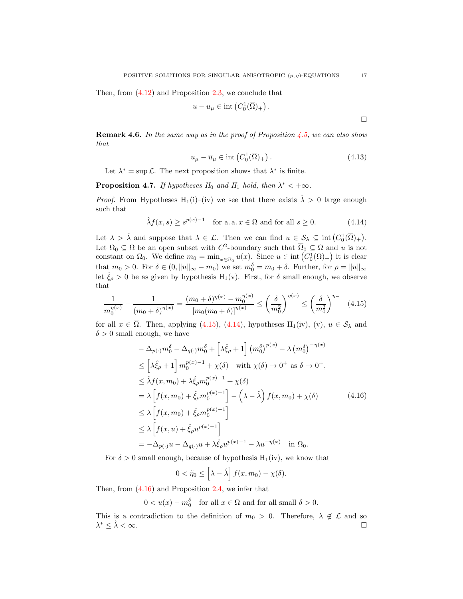Then, from  $(4.12)$  and Proposition [2.3,](#page-4-0) we conclude that

$$
u - u_{\mu} \in \text{int}\left(C_0^1(\overline{\Omega})_+\right)
$$

**Remark 4.6.** In the same way as in the proof of Proposition [4.5,](#page-15-4) we can also show that

$$
u_{\mu} - \overline{u}_{\mu} \in \text{int}\left(C_0^1(\overline{\Omega})_+\right). \tag{4.13}
$$

.

Let  $\lambda^* = \sup \mathcal{L}$ . The next proposition shows that  $\lambda^*$  is finite.

**Proposition 4.7.** If hypotheses  $H_0$  and  $H_1$  hold, then  $\lambda^* < +\infty$ .

*Proof.* From Hypotheses H<sub>1</sub>(i)–(iv) we see that there exists  $\hat{\lambda} > 0$  large enough such that

$$
\hat{\lambda}f(x,s) \ge s^{p(x)-1} \quad \text{for a. a. } x \in \Omega \text{ and for all } s \ge 0. \tag{4.14}
$$

Let  $\lambda > \hat{\lambda}$  and suppose that  $\lambda \in \mathcal{L}$ . Then we can find  $u \in \mathcal{S}_{\lambda} \subseteq \text{int}(C_0^1(\overline{\Omega})_+).$ Let  $\Omega_0 \subseteq \Omega$  be an open subset with  $C^2$ -boundary such that  $\overline{\Omega}_0 \subseteq \Omega$  and u is not constant on  $\overline{\Omega}_0$ . We define  $m_0 = \min_{x \in \overline{\Omega}_0} u(x)$ . Since  $u \in \text{int}(C_0^1(\overline{\Omega})_+)$  it is clear that  $m_0 > 0$ . For  $\delta \in (0, ||u||_{\infty} - m_0)$  we set  $m_0^{\delta} = m_0 + \delta$ . Further, for  $\rho = ||u||_{\infty}$ let  $\zeta_{\rho} > 0$  be as given by hypothesis H<sub>1</sub>(v). First, for  $\delta$  small enough, we observe that

$$
\frac{1}{m_0^{\eta(x)}} - \frac{1}{(m_0 + \delta)^{\eta(x)}} = \frac{(m_0 + \delta)^{\eta(x)} - m_0^{\eta(x)}}{[m_0(m_0 + \delta)]^{\eta(x)}} \le \left(\frac{\delta}{m_0^2}\right)^{\eta(x)} \le \left(\frac{\delta}{m_0^2}\right)^{\eta_{-}} \tag{4.15}
$$

for all  $x \in \overline{\Omega}$ . Then, applying [\(4.15\)](#page-16-0), [\(4.14\)](#page-16-1), hypotheses H<sub>1</sub>(iv), (v),  $u \in \mathcal{S}_{\lambda}$  and  $\delta > 0$  small enough, we have

$$
-\Delta_{p(\cdot)}m_{0}^{\delta} - \Delta_{q(\cdot)}m_{0}^{\delta} + \left[\lambda \hat{\xi}_{\rho} + 1\right] \left(m_{0}^{\delta}\right)^{p(x)} - \lambda \left(m_{0}^{\delta}\right)^{-\eta(x)}
$$
  
\n
$$
\leq \left[\lambda \hat{\xi}_{\rho} + 1\right]m_{0}^{p(x)-1} + \chi(\delta) \quad \text{with } \chi(\delta) \to 0^{+} \text{ as } \delta \to 0^{+},
$$
  
\n
$$
\leq \hat{\lambda}f(x, m_{0}) + \lambda \hat{\xi}_{\rho}m_{0}^{p(x)-1} + \chi(\delta)
$$
  
\n
$$
= \lambda \left[f(x, m_{0}) + \hat{\xi}_{\rho}m_{0}^{p(x)-1}\right] - \left(\lambda - \hat{\lambda}\right)f(x, m_{0}) + \chi(\delta)
$$
  
\n
$$
\leq \lambda \left[f(x, m_{0}) + \hat{\xi}_{\rho}m_{0}^{p(x)-1}\right]
$$
  
\n
$$
\leq \lambda \left[f(x, u) + \hat{\xi}_{\rho}u^{p(x)-1}\right]
$$
  
\n
$$
= -\Delta_{p(\cdot)}u - \Delta_{q(\cdot)}u + \lambda \hat{\xi}_{\rho}u^{p(x)-1} - \lambda u^{-\eta(x)} \quad \text{in } \Omega_{0}.
$$

For  $\delta > 0$  small enough, because of hypothesis  $H_1(iv)$ , we know that

<span id="page-16-2"></span>
$$
0 < \tilde{\eta}_0 \le \left[\lambda - \hat{\lambda}\right] f(x, m_0) - \chi(\delta).
$$

Then, from [\(4.16\)](#page-16-2) and Proposition [2.4,](#page-4-1) we infer that

$$
0 < u(x) - m_0^{\delta} \quad \text{for all } x \in \Omega \text{ and for all small } \delta > 0.
$$

This is a contradiction to the definition of  $m_0 > 0$ . Therefore,  $\lambda \notin \mathcal{L}$  and so  $\lambda^* \leq \hat{\lambda} < \infty$ .

<span id="page-16-3"></span><span id="page-16-1"></span><span id="page-16-0"></span> $\Box$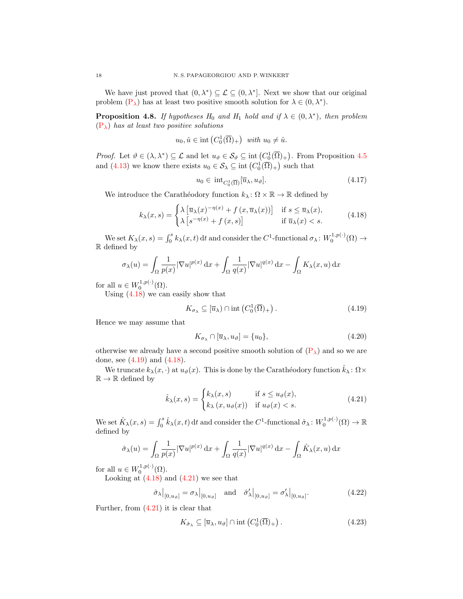We have just proved that  $(0, \lambda^*) \subseteq \mathcal{L} \subseteq (0, \lambda^*]$ . Next we show that our original problem  $(P_{\lambda})$  $(P_{\lambda})$  has at least two positive smooth solution for  $\lambda \in (0, \lambda^*)$ .

<span id="page-17-7"></span>**Proposition 4.8.** If hypotheses  $H_0$  and  $H_1$  hold and if  $\lambda \in (0, \lambda^*)$ , then problem  $(P_{\lambda})$  $(P_{\lambda})$  has at least two positive solutions

$$
u_0, \hat{u} \in \text{int}\left(C_0^1(\overline{\Omega})_+\right) \text{ with } u_0 \neq \hat{u}.
$$

*Proof.* Let  $\vartheta \in (\lambda, \lambda^*) \subseteq \mathcal{L}$  and let  $u_{\vartheta} \in \mathcal{S}_{\vartheta} \subseteq \text{int}(C_0^1(\overline{\Omega})_+)$ . From Proposition [4.5](#page-15-4) and [\(4.13\)](#page-16-3) we know there exists  $u_0 \in \mathcal{S}_\lambda \subseteq \text{int}(C_0^1(\overline{\Omega})_+)$  such that

<span id="page-17-6"></span><span id="page-17-0"></span>
$$
u_0 \in \text{int}_{C_0^1(\overline{\Omega})}[\overline{u}_\lambda, u_\vartheta].\tag{4.17}
$$

We introduce the Carathéodory function  $k_{\lambda} : \Omega \times \mathbb{R} \to \mathbb{R}$  defined by

$$
k_{\lambda}(x,s) = \begin{cases} \lambda \left[ \overline{u}_{\lambda}(x)^{-\eta(x)} + f(x, \overline{u}_{\lambda}(x)) \right] & \text{if } s \le \overline{u}_{\lambda}(x), \\ \lambda \left[ s^{-\eta(x)} + f(x,s) \right] & \text{if } \overline{u}_{\lambda}(x) < s. \end{cases}
$$
(4.18)

We set  $K_{\lambda}(x, s) = \int_0^s k_{\lambda}(x, t) dt$  and consider the  $C^1$ -functional  $\sigma_{\lambda}: W_0^{1, p(\cdot)}(\Omega) \to$ R defined by

$$
\sigma_{\lambda}(u) = \int_{\Omega} \frac{1}{p(x)} |\nabla u|^{p(x)} dx + \int_{\Omega} \frac{1}{q(x)} |\nabla u|^{q(x)} dx - \int_{\Omega} K_{\lambda}(x, u) dx
$$

for all  $u \in W_0^{1,p(\cdot)}(\Omega)$ .

Using [\(4.18\)](#page-17-0) we can easily show that

$$
K_{\sigma_{\lambda}} \subseteq [\overline{u}_{\lambda}) \cap \text{int}\left(C_0^1(\overline{\Omega})_+\right). \tag{4.19}
$$

Hence we may assume that

<span id="page-17-5"></span><span id="page-17-2"></span><span id="page-17-1"></span>
$$
K_{\sigma_{\lambda}} \cap [\overline{u}_{\lambda}, u_{\vartheta}] = \{u_0\},\tag{4.20}
$$

otherwise we already have a second positive smooth solution of  $(P_{\lambda})$  $(P_{\lambda})$  and so we are done, see [\(4.19\)](#page-17-1) and [\(4.18\)](#page-17-0).

We truncate  $k_{\lambda}(x, \cdot)$  at  $u_{\vartheta}(x)$ . This is done by the Carathéodory function  $\hat{k}_{\lambda} : \Omega \times$  $\mathbb{R} \to \mathbb{R}$  defined by

$$
\hat{k}_{\lambda}(x,s) = \begin{cases} k_{\lambda}(x,s) & \text{if } s \le u_{\vartheta}(x), \\ k_{\lambda}(x,u_{\vartheta}(x)) & \text{if } u_{\vartheta}(x) < s. \end{cases}
$$
\n(4.21)

We set  $\hat{K}_{\lambda}(x, s) = \int_0^s \hat{k}_{\lambda}(x, t) dt$  and consider the  $C^1$ -functional  $\hat{\sigma}_{\lambda}: W_0^{1, p(\cdot)}(\Omega) \to \mathbb{R}$ defined by

$$
\hat{\sigma}_{\lambda}(u) = \int_{\Omega} \frac{1}{p(x)} |\nabla u|^{p(x)} \, \mathrm{d}x + \int_{\Omega} \frac{1}{q(x)} |\nabla u|^{q(x)} \, \mathrm{d}x - \int_{\Omega} \hat{K}_{\lambda}(x, u) \, \mathrm{d}x
$$

for all  $u \in W_0^{1,p(\cdot)}(\Omega)$ .

Looking at  $(4.18)$  and  $(4.21)$  we see that

$$
\hat{\sigma}_{\lambda}|_{[0,u_{\vartheta}]} = \sigma_{\lambda}|_{[0,u_{\vartheta}]} \quad \text{and} \quad \hat{\sigma}_{\lambda}'|_{[0,u_{\vartheta}]} = \sigma_{\lambda}'|_{[0,u_{\vartheta}]}.
$$
\n(4.22)

Further, from  $(4.21)$  it is clear that

<span id="page-17-4"></span><span id="page-17-3"></span>
$$
K_{\hat{\sigma}_{\lambda}} \subseteq [\overline{u}_{\lambda}, u_{\vartheta}] \cap \text{int}\left(C_0^1(\overline{\Omega})_+\right). \tag{4.23}
$$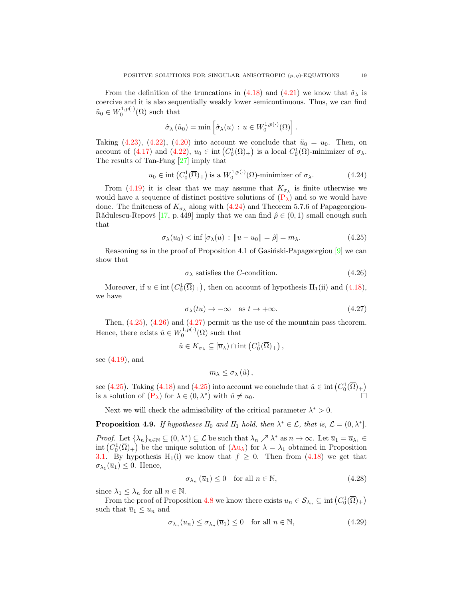From the definition of the truncations in [\(4.18\)](#page-17-0) and [\(4.21\)](#page-17-2) we know that  $\hat{\sigma}_{\lambda}$  is coercive and it is also sequentially weakly lower semicontinuous. Thus, we can find  $\tilde{u}_0 \in W_0^{1,p(\cdot)}(\Omega)$  such that

<span id="page-18-0"></span>
$$
\hat{\sigma}_{\lambda}(\tilde{u}_0) = \min \left[ \hat{\sigma}_{\lambda}(u) \, : \, u \in W_0^{1, p(\cdot)}(\Omega) \right].
$$

Taking [\(4.23\)](#page-17-3), [\(4.22\)](#page-17-4), [\(4.20\)](#page-17-5) into account we conclude that  $\tilde{u}_0 = u_0$ . Then, on account of [\(4.17\)](#page-17-6) and [\(4.22\)](#page-17-4),  $u_0 \in \text{int}\left(C_0^1(\overline{\Omega})_+\right)$  is a local  $C_0^1(\overline{\Omega})$ -minimizer of  $\sigma_{\lambda}$ . The results of Tan-Fang [\[27\]](#page-22-10) imply that

$$
u_0 \in \text{int}\left(C_0^1(\overline{\Omega})_+\right)
$$
 is a  $W_0^{1,p(\cdot)}(\Omega)$ -minimizer of  $\sigma_\lambda$ . (4.24)

From [\(4.19\)](#page-17-1) it is clear that we may assume that  $K_{\sigma_{\lambda}}$  is finite otherwise we would have a sequence of distinct positive solutions of  $(P_\lambda)$  $(P_\lambda)$  and so we would have done. The finiteness of  $K_{\sigma_{\lambda}}$  along with [\(4.24\)](#page-18-0) and Theorem 5.7.6 of Papageorgiou-Rădulescu-Repovš [\[17,](#page-21-10) p. 449] imply that we can find  $\hat{\rho} \in (0,1)$  small enough such that

$$
\sigma_{\lambda}(u_0) < \inf \left[ \sigma_{\lambda}(u) : \|u - u_0\| = \hat{\rho} \right] = m_{\lambda}.\tag{4.25}
$$

Reasoning as in the proof of Proposition 4.1 of Gasingsi-Papageorgiou  $[9]$  we can show that

<span id="page-18-2"></span><span id="page-18-1"></span>
$$
\sigma_{\lambda} \text{ satisfies the } C\text{-condition.} \tag{4.26}
$$

Moreover, if  $u \in \text{int}(C_0^1(\overline{\Omega})_+)$ , then on account of hypothesis  $H_1(\text{ii})$  and  $(4.18)$ , we have

$$
\sigma_{\lambda}(tu) \to -\infty \quad \text{as } t \to +\infty. \tag{4.27}
$$

Then, [\(4.25\)](#page-18-1), [\(4.26\)](#page-18-2) and [\(4.27\)](#page-18-3) permit us the use of the mountain pass theorem. Hence, there exists  $\hat{u} \in W_0^{1,p(\cdot)}(\Omega)$  such that

$$
\hat{u} \in K_{\sigma_{\lambda}} \subseteq [\overline{u}_{\lambda}) \cap \mathrm{int}\left(C_0^1(\overline{\Omega})_+\right),\,
$$

see [\(4.19\)](#page-17-1), and

<span id="page-18-3"></span>
$$
m_{\lambda}\leq\sigma_{\lambda}\left( \hat{u}\right) ,
$$

see [\(4.25\)](#page-18-1). Taking [\(4.18\)](#page-17-0) and (4.25) into account we conclude that  $\hat{u} \in \text{int}(C_0^1(\overline{\Omega})_+)$ is a solution of  $(P_{\lambda})$  $(P_{\lambda})$  for  $\lambda \in (0, \lambda^*)$  with  $\hat{u} \neq u_0$ .

Next we will check the admissibility of the critical parameter  $\lambda^* > 0$ .

**Proposition 4.9.** If hypotheses  $H_0$  and  $H_1$  hold, then  $\lambda^* \in \mathcal{L}$ , that is,  $\mathcal{L} = (0, \lambda^*]$ .

*Proof.* Let  $\{\lambda_n\}_{n\in\mathbb{N}}\subseteq(0,\lambda^*)\subseteq\mathcal{L}$  be such that  $\lambda_n\nearrow\lambda^*$  as  $n\to\infty$ . Let  $\overline{u}_1=\overline{u}_{\lambda_1}\in\mathcal{L}$ int  $(C_0^1(\overline{\Omega})_+)$  be the unique solution of  $(Au_\lambda)$  $(Au_\lambda)$  for  $\lambda = \lambda_1$  obtained in Proposition [3.1.](#page-6-2) By hypothesis H<sub>1</sub>(i) we know that  $f \geq 0$ . Then from [\(4.18\)](#page-17-0) we get that  $\sigma_{\lambda_1}(\overline{u}_1) \leq 0$ . Hence,

<span id="page-18-5"></span><span id="page-18-4"></span>
$$
\sigma_{\lambda_n}(\overline{u}_1) \le 0 \quad \text{for all } n \in \mathbb{N},\tag{4.28}
$$

since  $\lambda_1 \leq \lambda_n$  for all  $n \in \mathbb{N}$ .

From the proof of Proposition [4.8](#page-17-7) we know there exists  $u_n \in \mathcal{S}_{\lambda_n} \subseteq \text{int}\left(C_0^1(\overline{\Omega})_+\right)$ such that  $\overline{u}_1 \leq u_n$  and

$$
\sigma_{\lambda_n}(u_n) \le \sigma_{\lambda_n}(\overline{u}_1) \le 0 \quad \text{for all } n \in \mathbb{N},\tag{4.29}
$$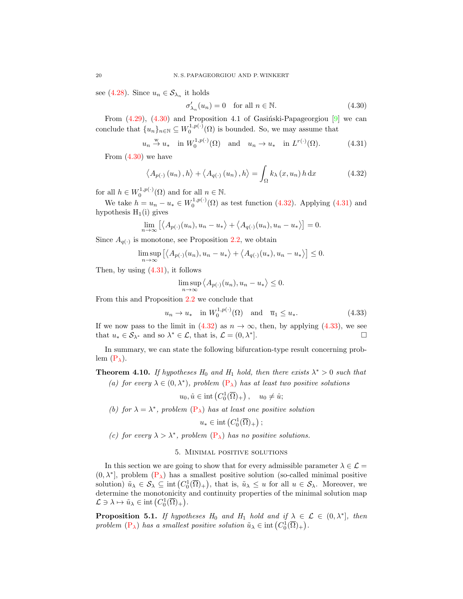see [\(4.28\)](#page-18-4). Since  $u_n \in \mathcal{S}_{\lambda_n}$  it holds

<span id="page-19-2"></span><span id="page-19-1"></span><span id="page-19-0"></span>
$$
\sigma'_{\lambda_n}(u_n) = 0 \quad \text{for all } n \in \mathbb{N}.\tag{4.30}
$$

From  $(4.29)$ ,  $(4.30)$  and Proposition 4.1 of Gasinski-Papageorgiou  $[9]$  we can conclude that  $\{u_n\}_{n\in\mathbb{N}}\subseteq W_0^{1,p(\cdot)}(\Omega)$  is bounded. So, we may assume that

$$
u_n \stackrel{w}{\rightarrow} u_*
$$
 in  $W_0^{1,p(\cdot)}(\Omega)$  and  $u_n \rightarrow u_*$  in  $L^{r(\cdot)}(\Omega)$ . (4.31)

From  $(4.30)$  we have

$$
\langle A_{p(\cdot)}(u_n), h \rangle + \langle A_{q(\cdot)}(u_n), h \rangle = \int_{\Omega} k_{\lambda}(x, u_n) h \, dx \tag{4.32}
$$

for all  $h \in W_0^{1,p(\cdot)}(\Omega)$  and for all  $n \in \mathbb{N}$ .

We take  $h = u_n - u_* \in W_0^{1,p(\cdot)}(\Omega)$  as test function [\(4.32\)](#page-19-1). Applying [\(4.31\)](#page-19-2) and hypothesis  $H_1(i)$  gives

$$
\lim_{n \to \infty} \left[ \langle A_{p(\cdot)}(u_n), u_n - u_* \rangle + \langle A_{q(\cdot)}(u_n), u_n - u_* \rangle \right] = 0.
$$

Since  $A_{q(\cdot)}$  is monotone, see Proposition [2.2,](#page-3-0) we obtain

$$
\limsup_{n\to\infty} \left[ \langle A_{p(\cdot)}(u_n), u_n - u_* \rangle + \langle A_{q(\cdot)}(u_*) , u_n - u_* \rangle \right] \leq 0.
$$

Then, by using [\(4.31\)](#page-19-2), it follows

<span id="page-19-3"></span>
$$
\limsup_{n \to \infty} \langle A_{p(\cdot)}(u_n), u_n - u_* \rangle \le 0.
$$

From this and Proposition [2.2](#page-3-0) we conclude that

$$
u_n \to u_* \quad \text{in } W_0^{1,p(\cdot)}(\Omega) \quad \text{and} \quad \overline{u}_1 \le u_*. \tag{4.33}
$$

If we now pass to the limit in [\(4.32\)](#page-19-1) as  $n \to \infty$ , then, by applying [\(4.33\)](#page-19-3), we see that  $u_* \in \mathcal{S}_{\lambda^*}$  and so  $\lambda^* \in \mathcal{L}$ , that is,  $\mathcal{L} = (0, \lambda^*)$ ].

In summary, we can state the following bifurcation-type result concerning problem  $(P_{\lambda})$  $(P_{\lambda})$ .

**Theorem 4.10.** If hypotheses  $H_0$  and  $H_1$  hold, then there exists  $\lambda^* > 0$  such that (a) for every  $\lambda \in (0, \lambda^*)$ , problem  $(P_{\lambda})$  $(P_{\lambda})$  has at least two positive solutions

 $u_0, \hat{u} \in \text{int}\left(C_0^1(\overline{\Omega})_+\right), \quad u_0 \neq \hat{u};$ 

(b) for  $\lambda = \lambda^*$ , problem  $(P_{\lambda})$  $(P_{\lambda})$  has at least one positive solution

$$
u_* \in \mathrm{int}\left(C_0^1(\overline{\Omega})_+\right);
$$

(c) for every  $\lambda > \lambda^*$ , problem  $(P_{\lambda})$  $(P_{\lambda})$  has no positive solutions.

## 5. Minimal positive solutions

In this section we are going to show that for every admissible parameter  $\lambda \in \mathcal{L} =$  $(0, \lambda^*]$ , problem  $(P_{\lambda})$  $(P_{\lambda})$  has a smallest positive solution (so-called minimal positive solution)  $\tilde{u}_{\lambda} \in \mathcal{S}_{\lambda} \subseteq \text{int}(C_0^1(\overline{\Omega})_+)$ , that is,  $\tilde{u}_{\lambda} \leq u$  for all  $u \in \mathcal{S}_{\lambda}$ . Moreover, we determine the monotonicity and continuity properties of the minimal solution map  $\mathcal{L} \ni \lambda \mapsto \tilde{u}_{\lambda} \in \text{int} (C_0^1(\overline{\Omega})_+).$ 

**Proposition 5.1.** If hypotheses  $H_0$  and  $H_1$  hold and if  $\lambda \in \mathcal{L} \in (0, \lambda^*]$ , then problem  $(P_{\lambda})$  $(P_{\lambda})$  has a smallest positive solution  $\tilde{u}_{\lambda} \in \text{int}(C_0^1(\overline{\Omega})_+)$ .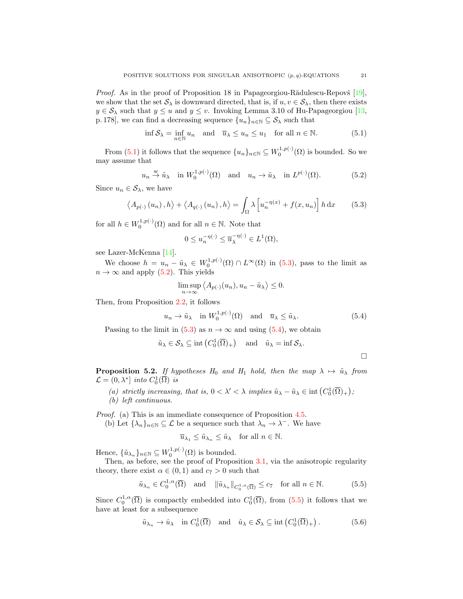*Proof.* As in the proof of Proposition 18 in Papageorgiou-Rădulescu-Repovš  $[19]$ , we show that the set  $\mathcal{S}_{\lambda}$  is downward directed, that is, if  $u, v \in \mathcal{S}_{\lambda}$ , then there exists  $y \in \mathcal{S}_{\lambda}$  such that  $y \leq u$  and  $y \leq v$ . Invoking Lemma 3.10 of Hu-Papageorgiou [\[13,](#page-21-18) p. 178], we can find a decreasing sequence  $\{u_n\}_{n\in\mathbb{N}}\subseteq\mathcal{S}_{\lambda}$  such that

$$
\inf \mathcal{S}_{\lambda} = \inf_{n \in \mathbb{N}} u_n \quad \text{and} \quad \overline{u}_{\lambda} \le u_n \le u_1 \quad \text{for all } n \in \mathbb{N}.
$$
 (5.1)

From [\(5.1\)](#page-20-0) it follows that the sequence  $\{u_n\}_{n\in\mathbb{N}}\subseteq W_0^{1,p(\cdot)}(\Omega)$  is bounded. So we may assume that

$$
u_n \stackrel{\text{w}}{\rightarrow} \tilde{u}_\lambda
$$
 in  $W_0^{1,p(\cdot)}(\Omega)$  and  $u_n \rightarrow \tilde{u}_\lambda$  in  $L^{p(\cdot)}(\Omega)$ . (5.2)

Since  $u_n \in \mathcal{S}_\lambda$ , we have

$$
\langle A_{p(\cdot)}(u_n), h \rangle + \langle A_{q(\cdot)}(u_n), h \rangle = \int_{\Omega} \lambda \left[ u_n^{-\eta(x)} + f(x, u_n) \right] h \, dx \tag{5.3}
$$

for all  $h \in W_0^{1,p(\cdot)}(\Omega)$  and for all  $n \in \mathbb{N}$ . Note that

<span id="page-20-2"></span><span id="page-20-0"></span>
$$
0 \le u_n^{-\eta(\cdot)} \le \overline{u}_\lambda^{-\eta(\cdot)} \in L^1(\Omega),
$$

see Lazer-McKenna [\[14\]](#page-21-15).

We choose  $h = u_n - \tilde{u}_\lambda \in W_0^{1,p(\cdot)}(\Omega) \cap L^\infty(\Omega)$  in [\(5.3\)](#page-20-1), pass to the limit as  $n \to \infty$  and apply [\(5.2\)](#page-20-2). This yields

$$
\limsup_{n \to \infty} \langle A_{p(\cdot)}(u_n), u_n - \tilde{u}_{\lambda} \rangle \le 0.
$$

Then, from Proposition [2.2,](#page-3-0) it follows

$$
u_n \to \tilde{u}_\lambda
$$
 in  $W_0^{1,p(\cdot)}(\Omega)$  and  $\overline{u}_\lambda \le \tilde{u}_\lambda$ . (5.4)

Passing to the limit in [\(5.3\)](#page-20-1) as  $n \to \infty$  and using [\(5.4\)](#page-20-3), we obtain

$$
\tilde{u}_{\lambda} \in \mathcal{S}_{\lambda} \subseteq \text{int}\left(C_0^1(\overline{\Omega})_+\right) \text{ and } \tilde{u}_{\lambda} = \text{inf } \mathcal{S}_{\lambda}.
$$

**Proposition 5.2.** If hypotheses  $H_0$  and  $H_1$  hold, then the map  $\lambda \mapsto \tilde{u}_{\lambda}$  from  $\mathcal{L} = (0, \lambda^*)$  into  $C_0^1(\overline{\Omega})$  is

(a) strictly increasing, that is,  $0 < \lambda' < \lambda$  implies  $\tilde{u}_{\lambda} - \tilde{u}_{\lambda} \in \text{int}(C_0^1(\overline{\Omega})_+)$ ; (b) left continuous.

Proof. (a) This is an immediate consequence of Proposition [4.5.](#page-15-4)

(b) Let  $\{\lambda_n\}_{n\in\mathbb{N}}\subseteq\mathcal{L}$  be a sequence such that  $\lambda_n\to\lambda^-$ . We have

$$
\overline{u}_{\lambda_1} \leq \tilde{u}_{\lambda_n} \leq \tilde{u}_{\lambda} \quad \text{for all } n \in \mathbb{N}.
$$

Hence,  $\{\tilde{u}_{\lambda_n}\}_{n\in\mathbb{N}} \subseteq W_0^{1,p(\cdot)}(\Omega)$  is bounded.

Then, as before, see the proof of Proposition [3.1,](#page-6-2) via the anisotropic regularity theory, there exist  $\alpha \in (0,1)$  and  $c_7 > 0$  such that

$$
\tilde{u}_{\lambda_n} \in C_0^{1,\alpha}(\overline{\Omega}) \quad \text{and} \quad \|\tilde{u}_{\lambda_n}\|_{C_0^{1,\alpha}(\overline{\Omega})} \le c_7 \quad \text{for all } n \in \mathbb{N}.\tag{5.5}
$$

Since  $C_0^{1,\alpha}(\overline{\Omega})$  is compactly embedded into  $C_0^1(\overline{\Omega})$ , from [\(5.5\)](#page-20-4) it follows that we have at least for a subsequence

$$
\tilde{u}_{\lambda_n} \to \hat{u}_{\lambda} \text{ in } C_0^1(\overline{\Omega}) \text{ and } \hat{u}_{\lambda} \in \mathcal{S}_{\lambda} \subseteq \text{int}(C_0^1(\overline{\Omega})_+).
$$
 (5.6)

<span id="page-20-5"></span><span id="page-20-4"></span><span id="page-20-3"></span><span id="page-20-1"></span> $\Box$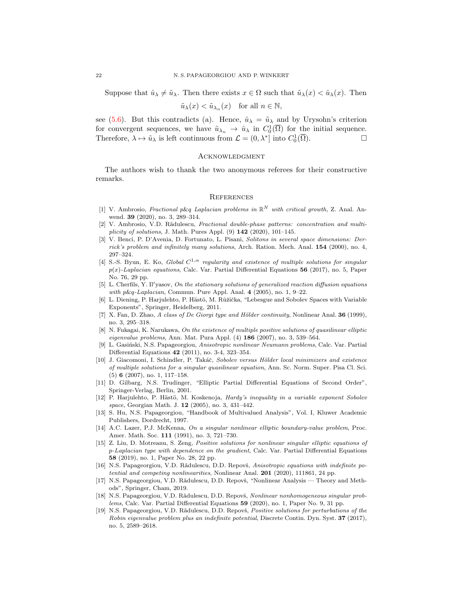Suppose that  $\hat{u}_{\lambda} \neq \tilde{u}_{\lambda}$ . Then there exists  $x \in \Omega$  such that  $\tilde{u}_{\lambda}(x) < \hat{u}_{\lambda}(x)$ . Then

$$
\tilde{u}_{\lambda}(x) < \tilde{u}_{\lambda_n}(x) \quad \text{for all } n \in \mathbb{N},
$$

see [\(5.6\)](#page-20-5). But this contradicts (a). Hence,  $\hat{u}_{\lambda} = \tilde{u}_{\lambda}$  and by Urysohn's criterion for convergent sequences, we have  $\tilde{u}_{\lambda_n} \to \hat{u}_{\lambda}$  in  $C_0^1(\overline{\Omega})$  for the initial sequence. Therefore,  $\lambda \mapsto \tilde{u}_{\lambda}$  is left continuous from  $\mathcal{L} = (0, \lambda^*]$  into  $C_0^1(\overline{\Omega})$ .

### Acknowledgment

The authors wish to thank the two anonymous referees for their constructive remarks.

#### **REFERENCES**

- <span id="page-21-4"></span>[1] V. Ambrosio, Fractional p&q Laplacian problems in  $\mathbb{R}^N$  with critical growth, Z. Anal. Anwend. 39 (2020), no. 3, 289–314.
- <span id="page-21-5"></span>[2] V. Ambrosio, V.D. Rădulescu, Fractional double-phase patterns: concentration and multiplicity of solutions, J. Math. Pures Appl.  $(9)$  142  $(2020)$ , 101-145.
- <span id="page-21-0"></span>[3] V. Benci, P. D'Avenia, D. Fortunato, L. Pisani, Solitons in several space dimensions: Derrick's problem and infinitely many solutions, Arch. Ration. Mech. Anal. 154 (2000), no. 4, 297–324.
- <span id="page-21-3"></span>[4] S.-S. Byun, E. Ko, Global  $C^{1,\alpha}$  regularity and existence of multiple solutions for singular  $p(x)$ -Laplacian equations, Calc. Var. Partial Differential Equations 56 (2017), no. 5, Paper No. 76, 29 pp.
- <span id="page-21-1"></span>[5] L. Cherfils, Y. Il'yasov, On the stationary solutions of generalized reaction diffusion equations with p&q-Laplacian, Commun. Pure Appl. Anal. 4 (2005), no. 1, 9–22.
- <span id="page-21-2"></span>[6] L. Diening, P. Harjulehto, P. Hästö, M. Růžička, "Lebesgue and Sobolev Spaces with Variable Exponents", Springer, Heidelberg, 2011.
- <span id="page-21-11"></span>[7] X. Fan, D. Zhao, A class of De Giorgi type and Hölder continuity, Nonlinear Anal. 36 (1999), no. 3, 295–318.
- <span id="page-21-12"></span>[8] N. Fukagai, K. Narukawa, On the existence of multiple positive solutions of quasilinear elliptic eigenvalue problems, Ann. Mat. Pura Appl.  $(4)$  186  $(2007)$ , no. 3, 539-564.
- <span id="page-21-7"></span>[9] L. Gasiński, N.S. Papageorgiou, Anisotropic nonlinear Neumann problems, Calc. Var. Partial Differential Equations 42 (2011), no. 3-4, 323–354.
- <span id="page-21-16"></span>[10] J. Giacomoni, I. Schindler, P. Takáč, Sobolev versus Hölder local minimizers and existence of multiple solutions for a singular quasilinear equation, Ann. Sc. Norm. Super. Pisa Cl. Sci. (5) 6 (2007), no. 1, 117–158.
- <span id="page-21-13"></span>[11] D. Gilbarg, N.S. Trudinger, "Elliptic Partial Differential Equations of Second Order", Springer-Verlag, Berlin, 2001.
- <span id="page-21-14"></span>[12] P. Harjulehto, P. Hästö, M. Koskenoja, Hardy's inequality in a variable exponent Sobolev space, Georgian Math. J. **12** (2005), no. 3, 431-442.
- <span id="page-21-18"></span>[13] S. Hu, N.S. Papageorgiou, "Handbook of Multivalued Analysis", Vol. I, Kluwer Academic Publishers, Dordrecht, 1997.
- <span id="page-21-15"></span>[14] A.C. Lazer, P.J. McKenna, On a singular nonlinear elliptic boundary-value problem, Proc. Amer. Math. Soc. 111 (1991), no. 3, 721–730.
- <span id="page-21-6"></span>[15] Z. Liu, D. Motreanu, S. Zeng, Positive solutions for nonlinear singular elliptic equations of p-Laplacian type with dependence on the gradient, Calc. Var. Partial Differential Equations 58 (2019), no. 1, Paper No. 28, 22 pp.
- <span id="page-21-8"></span>[16] N.S. Papageorgiou, V.D. Rădulescu, D.D. Repovš, Anisotropic equations with indefinite potential and competing nonlinearities, Nonlinear Anal. 201 (2020), 111861, 24 pp.
- <span id="page-21-10"></span>[17] N.S. Papageorgiou, V.D. Rădulescu, D.D. Repovš, "Nonlinear Analysis — Theory and Methods", Springer, Cham, 2019.
- <span id="page-21-9"></span>[18] N.S. Papageorgiou, V.D. Rădulescu, D.D. Repovš, Nonlinear nonhomogeneous singular problems, Calc. Var. Partial Differential Equations 59 (2020), no. 1, Paper No. 9, 31 pp.
- <span id="page-21-17"></span>[19] N.S. Papageorgiou, V.D. Rădulescu, D.D. Repovš, Positive solutions for perturbations of the Robin eigenvalue problem plus an indefinite potential, Discrete Contin. Dyn. Syst. 37 (2017), no. 5, 2589–2618.